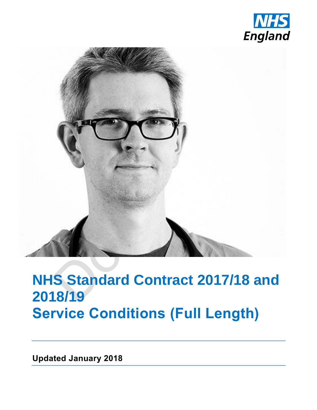



## **NHS Standard Contract 2017/18 and 2018/19 Service Conditions (Full Length)**

**Updated January 2018**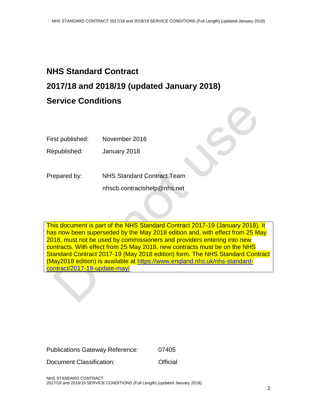## **NHS Standard Contract 2017/18 and 2018/19 (updated January 2018) Service Conditions**

First published: November 2016

Republished: January 2018

Prepared by: NHS Standard Contract Team

nhscb.contractshelp@nhs.net

This document is part of the NHS Standard Contract 2017-19 (January 2018). It has now been superseded by the May 2018 edition and, with effect from 25 May 2018, must not be used by commissioners and providers entering into new contracts. With effect from 25 May 2018, new contracts must be on the NHS Standard Contract 2017-19 (May 2018 edition) form. The NHS Standard Contract (May2018 edition) is available at [https://www.england.nhs.uk/nhs-standard](https://www.england.nhs.uk/nhs-standard-contract/2017-19-update-may/)[contract/2017-19-update-may/](https://www.england.nhs.uk/nhs-standard-contract/2017-19-update-may/)

Document Classification: **Contact Classification** 

NHS STANDARD CONTRACT 2017/18 and 2018/19 SERVICE CONDITIONS (Full Length) (updated January 2018)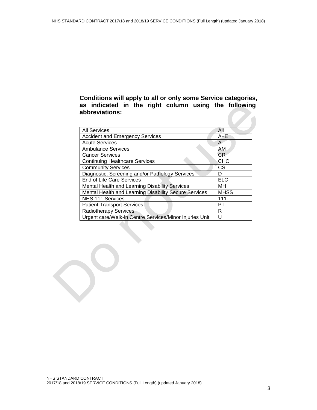## **Conditions will apply to all or only some Service categories, as indicated in the right column using the following abbreviations:**

| <b>All Services</b>                                     | All         |
|---------------------------------------------------------|-------------|
| <b>Accident and Emergency Services</b>                  | $A + E$     |
| <b>Acute Services</b>                                   | A           |
| <b>Ambulance Services</b>                               | AM          |
| <b>Cancer Services</b>                                  | <b>CR</b>   |
| <b>Continuing Healthcare Services</b>                   | <b>CHC</b>  |
| <b>Community Services</b>                               | <b>CS</b>   |
| Diagnostic, Screening and/or Pathology Services         | D           |
| <b>End of Life Care Services</b>                        | <b>ELC</b>  |
| Mental Health and Learning Disability Services          | MН          |
| Mental Health and Learning Disability Secure Services   | <b>MHSS</b> |
| NHS 111 Services                                        | 111         |
| <b>Patient Transport Services</b>                       | PТ          |
| <b>Radiotherapy Services</b>                            | R           |
| Urgent care/Walk-in Centre Services/Minor Injuries Unit | U           |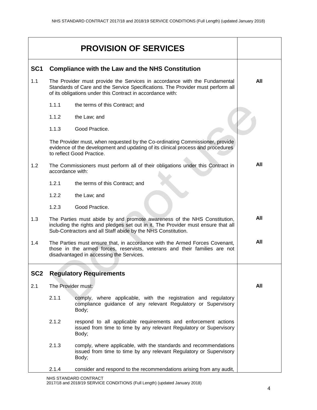|                 |                                                                                                                                                                                                                            | <b>PROVISION OF SERVICES</b>                                                                                                                                                                                                  |     |
|-----------------|----------------------------------------------------------------------------------------------------------------------------------------------------------------------------------------------------------------------------|-------------------------------------------------------------------------------------------------------------------------------------------------------------------------------------------------------------------------------|-----|
| SC <sub>1</sub> | <b>Compliance with the Law and the NHS Constitution</b>                                                                                                                                                                    |                                                                                                                                                                                                                               |     |
| 1.1             | The Provider must provide the Services in accordance with the Fundamental<br>Standards of Care and the Service Specifications. The Provider must perform all<br>of its obligations under this Contract in accordance with: |                                                                                                                                                                                                                               | All |
|                 | 1.1.1                                                                                                                                                                                                                      | the terms of this Contract; and                                                                                                                                                                                               |     |
|                 | 1.1.2                                                                                                                                                                                                                      | the Law; and                                                                                                                                                                                                                  |     |
|                 | 1.1.3                                                                                                                                                                                                                      | Good Practice.                                                                                                                                                                                                                |     |
|                 |                                                                                                                                                                                                                            | The Provider must, when requested by the Co-ordinating Commissioner, provide<br>evidence of the development and updating of its clinical process and procedures<br>to reflect Good Practice.                                  |     |
| 1.2             | accordance with:                                                                                                                                                                                                           | The Commissioners must perform all of their obligations under this Contract in                                                                                                                                                | All |
|                 | 1.2.1                                                                                                                                                                                                                      | the terms of this Contract; and                                                                                                                                                                                               |     |
|                 | 1.2.2                                                                                                                                                                                                                      | the Law; and                                                                                                                                                                                                                  |     |
|                 | 1.2.3                                                                                                                                                                                                                      | Good Practice.                                                                                                                                                                                                                |     |
| 1.3             |                                                                                                                                                                                                                            | The Parties must abide by and promote awareness of the NHS Constitution,<br>including the rights and pledges set out in it. The Provider must ensure that all<br>Sub-Contractors and all Staff abide by the NHS Constitution. | All |
| 1.4             |                                                                                                                                                                                                                            | The Parties must ensure that, in accordance with the Armed Forces Covenant,<br>those in the armed forces, reservists, veterans and their families are not<br>disadvantaged in accessing the Services.                         | All |
| SC <sub>2</sub> |                                                                                                                                                                                                                            | <b>Regulatory Requirements</b>                                                                                                                                                                                                |     |
| 2.1             | The Provider must:                                                                                                                                                                                                         |                                                                                                                                                                                                                               | All |
|                 | 2.1.1                                                                                                                                                                                                                      | comply, where applicable, with the registration and regulatory<br>compliance guidance of any relevant Regulatory or Supervisory<br>Body;                                                                                      |     |
|                 | 2.1.2                                                                                                                                                                                                                      | respond to all applicable requirements and enforcement actions<br>issued from time to time by any relevant Regulatory or Supervisory<br>Body;                                                                                 |     |
|                 | 2.1.3                                                                                                                                                                                                                      | comply, where applicable, with the standards and recommendations<br>issued from time to time by any relevant Regulatory or Supervisory<br>Body;                                                                               |     |
|                 | 2.1.4                                                                                                                                                                                                                      | consider and respond to the recommendations arising from any audit,                                                                                                                                                           |     |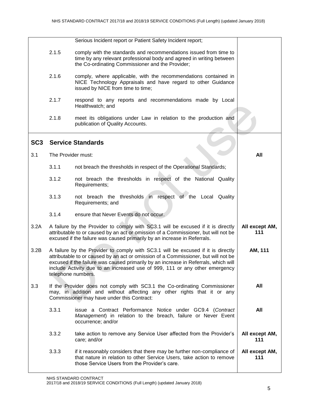|                 |                    | Serious Incident report or Patient Safety Incident report;                                                                                                                                                                                                                                                                                                         |                       |
|-----------------|--------------------|--------------------------------------------------------------------------------------------------------------------------------------------------------------------------------------------------------------------------------------------------------------------------------------------------------------------------------------------------------------------|-----------------------|
|                 | 2.1.5              | comply with the standards and recommendations issued from time to<br>time by any relevant professional body and agreed in writing between<br>the Co-ordinating Commissioner and the Provider;                                                                                                                                                                      |                       |
|                 | 2.1.6              | comply, where applicable, with the recommendations contained in<br>NICE Technology Appraisals and have regard to other Guidance<br>issued by NICE from time to time;                                                                                                                                                                                               |                       |
|                 | 2.1.7              | respond to any reports and recommendations made by Local<br>Healthwatch; and                                                                                                                                                                                                                                                                                       |                       |
|                 | 2.1.8              | meet its obligations under Law in relation to the production and<br>publication of Quality Accounts.                                                                                                                                                                                                                                                               |                       |
| SC <sub>3</sub> |                    | <b>Service Standards</b>                                                                                                                                                                                                                                                                                                                                           |                       |
| 3.1             | The Provider must: |                                                                                                                                                                                                                                                                                                                                                                    | All                   |
|                 | 3.1.1              | not breach the thresholds in respect of the Operational Standards;                                                                                                                                                                                                                                                                                                 |                       |
|                 | 3.1.2              | not breach the thresholds in respect of the National Quality<br>Requirements;                                                                                                                                                                                                                                                                                      |                       |
|                 | 3.1.3              | not breach the thresholds in respect of the Local Quality<br>Requirements; and                                                                                                                                                                                                                                                                                     |                       |
|                 | 3.1.4              | ensure that Never Events do not occur.                                                                                                                                                                                                                                                                                                                             |                       |
| 3.2A            |                    | A failure by the Provider to comply with SC3.1 will be excused if it is directly<br>attributable to or caused by an act or omission of a Commissioner, but will not be<br>excused if the failure was caused primarily by an increase in Referrals.                                                                                                                 | All except AM,<br>111 |
| 3.2B            |                    | A failure by the Provider to comply with SC3.1 will be excused if it is directly<br>attributable to or caused by an act or omission of a Commissioner, but will not be<br>excused if the failure was caused primarily by an increase in Referrals, which will<br>include Activity due to an increased use of 999, 111 or any other emergency<br>telephone numbers. | AM, 111               |
| 3.3             |                    | If the Provider does not comply with SC3.1 the Co-ordinating Commissioner<br>may, in addition and without affecting any other rights that it or any<br>Commissioner may have under this Contract:                                                                                                                                                                  | All                   |
|                 | 3.3.1              | issue a Contract Performance Notice under GC9.4 (Contract<br>Management) in relation to the breach, failure or Never Event<br>occurrence; and/or                                                                                                                                                                                                                   | All                   |
|                 | 3.3.2              | take action to remove any Service User affected from the Provider's<br>care; and/or                                                                                                                                                                                                                                                                                | All except AM,<br>111 |
|                 | 3.3.3              | if it reasonably considers that there may be further non-compliance of<br>that nature in relation to other Service Users, take action to remove<br>those Service Users from the Provider's care.                                                                                                                                                                   | All except AM,<br>111 |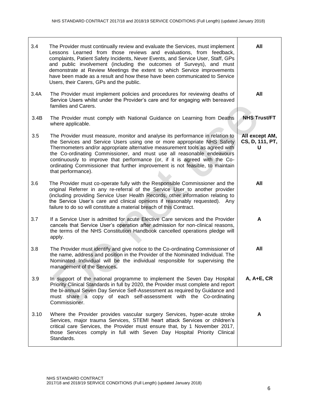| 3.4  | The Provider must continually review and evaluate the Services, must implement<br>Lessons Learned from those reviews and evaluations, from feedback,<br>complaints, Patient Safety Incidents, Never Events, and Service User, Staff, GPs<br>and public involvement (including the outcomes of Surveys), and must<br>demonstrate at Review Meetings the extent to which Service improvements<br>have been made as a result and how these have been communicated to Service<br>Users, their Carers, GPs and the public. | All                                    |
|------|-----------------------------------------------------------------------------------------------------------------------------------------------------------------------------------------------------------------------------------------------------------------------------------------------------------------------------------------------------------------------------------------------------------------------------------------------------------------------------------------------------------------------|----------------------------------------|
| 3.4A | The Provider must implement policies and procedures for reviewing deaths of<br>Service Users whilst under the Provider's care and for engaging with bereaved<br>families and Carers.                                                                                                                                                                                                                                                                                                                                  | All                                    |
| 3.4B | The Provider must comply with National Guidance on Learning from Deaths<br>where applicable.                                                                                                                                                                                                                                                                                                                                                                                                                          | <b>NHS Trust/FT</b>                    |
| 3.5  | The Provider must measure, monitor and analyse its performance in relation to<br>the Services and Service Users using one or more appropriate NHS Safety<br>Thermometers and/or appropriate alternative measurement tools as agreed with<br>the Co-ordinating Commissioner, and must use all reasonable endeavours<br>continuously to improve that performance (or, if it is agreed with the Co-<br>ordinating Commissioner that further improvement is not feasible, to maintain<br>that performance).               | All except AM,<br>CS, D, 111, PT,<br>U |
| 3.6  | The Provider must co-operate fully with the Responsible Commissioner and the<br>original Referrer in any re-referral of the Service User to another provider<br>(including providing Service User Health Records, other information relating to<br>the Service User's care and clinical opinions if reasonably requested). Any<br>failure to do so will constitute a material breach of this Contract.                                                                                                                | All                                    |
| 3.7  | If a Service User is admitted for acute Elective Care services and the Provider<br>cancels that Service User's operation after admission for non-clinical reasons,<br>the terms of the NHS Constitution Handbook cancelled operations pledge will<br>apply.                                                                                                                                                                                                                                                           | A                                      |
| 3.8  | The Provider must identify and give notice to the Co-ordinating Commissioner of<br>the name, address and position in the Provider of the Nominated Individual. The<br>Nominated Individual will be the individual responsible for supervising the<br>management of the Services.                                                                                                                                                                                                                                      | All                                    |
| 3.9  | In support of the national programme to implement the Seven Day Hospital<br>Priority Clinical Standards in full by 2020, the Provider must complete and report<br>the bi-annual Seven Day Service Self-Assessment as required by Guidance and<br>must share a copy of each self-assessment with the Co-ordinating<br>Commissioner.                                                                                                                                                                                    | $A, A+E, CR$                           |
| 3.10 | Where the Provider provides vascular surgery Services, hyper-acute stroke<br>Services, major trauma Services, STEMI heart attack Services or children's<br>critical care Services, the Provider must ensure that, by 1 November 2017,<br>those Services comply in full with Seven Day Hospital Priority Clinical<br>Standards.                                                                                                                                                                                        | A                                      |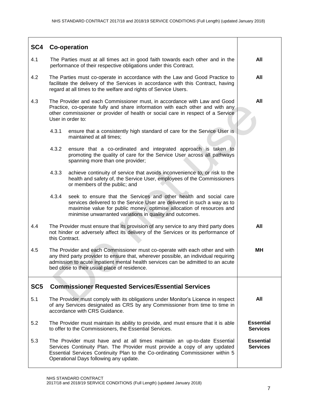| SC4             |                                                                                                                                                                                                                                                                                                       | <b>Co-operation</b>                                                                                                                                                                                                                                                                |                                     |  |
|-----------------|-------------------------------------------------------------------------------------------------------------------------------------------------------------------------------------------------------------------------------------------------------------------------------------------------------|------------------------------------------------------------------------------------------------------------------------------------------------------------------------------------------------------------------------------------------------------------------------------------|-------------------------------------|--|
| 4.1             |                                                                                                                                                                                                                                                                                                       | The Parties must at all times act in good faith towards each other and in the<br>performance of their respective obligations under this Contract.                                                                                                                                  |                                     |  |
| 4.2             |                                                                                                                                                                                                                                                                                                       | The Parties must co-operate in accordance with the Law and Good Practice to<br>facilitate the delivery of the Services in accordance with this Contract, having<br>regard at all times to the welfare and rights of Service Users.                                                 | All                                 |  |
| 4.3             | The Provider and each Commissioner must, in accordance with Law and Good<br>Practice, co-operate fully and share information with each other and with any<br>other commissioner or provider of health or social care in respect of a Service<br>User in order to:                                     |                                                                                                                                                                                                                                                                                    | All                                 |  |
|                 | 4.3.1                                                                                                                                                                                                                                                                                                 | ensure that a consistently high standard of care for the Service User is<br>maintained at all times;                                                                                                                                                                               |                                     |  |
|                 | 4.3.2                                                                                                                                                                                                                                                                                                 | ensure that a co-ordinated and integrated approach is taken to<br>promoting the quality of care for the Service User across all pathways<br>spanning more than one provider;                                                                                                       |                                     |  |
|                 | 4.3.3                                                                                                                                                                                                                                                                                                 | achieve continuity of service that avoids inconvenience to, or risk to the<br>health and safety of, the Service User, employees of the Commissioners<br>or members of the public; and                                                                                              |                                     |  |
|                 | 4.3.4                                                                                                                                                                                                                                                                                                 | seek to ensure that the Services and other health and social care<br>services delivered to the Service User are delivered in such a way as to<br>maximise value for public money, optimise allocation of resources and<br>minimise unwarranted variations in quality and outcomes. |                                     |  |
| 4.4             | The Provider must ensure that its provision of any service to any third party does<br>not hinder or adversely affect its delivery of the Services or its performance of<br>this Contract.                                                                                                             |                                                                                                                                                                                                                                                                                    | All                                 |  |
| 4.5             | The Provider and each Commissioner must co-operate with each other and with<br>any third party provider to ensure that, wherever possible, an individual requiring<br>admission to acute inpatient mental health services can be admitted to an acute<br>bed close to their usual place of residence. |                                                                                                                                                                                                                                                                                    | <b>MH</b>                           |  |
| SC <sub>5</sub> |                                                                                                                                                                                                                                                                                                       | <b>Commissioner Requested Services/Essential Services</b>                                                                                                                                                                                                                          |                                     |  |
| 5.1             |                                                                                                                                                                                                                                                                                                       | The Provider must comply with its obligations under Monitor's Licence in respect<br>of any Services designated as CRS by any Commissioner from time to time in<br>accordance with CRS Guidance.                                                                                    | All                                 |  |
| 5.2             | The Provider must maintain its ability to provide, and must ensure that it is able<br>to offer to the Commissioners, the Essential Services.                                                                                                                                                          |                                                                                                                                                                                                                                                                                    | <b>Essential</b><br><b>Services</b> |  |
| 5.3             |                                                                                                                                                                                                                                                                                                       | The Provider must have and at all times maintain an up-to-date Essential<br>Services Continuity Plan. The Provider must provide a copy of any updated<br>Essential Services Continuity Plan to the Co-ordinating Commissioner within 5<br>Operational Days following any update.   |                                     |  |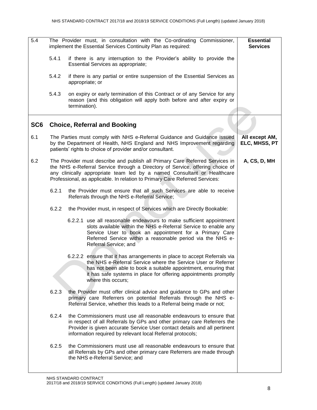| 5.4             | The Provider must, in consultation with the Co-ordinating Commissioner,<br>implement the Essential Services Continuity Plan as required: | <b>Essential</b><br><b>Services</b>                                                                                                                                                                                                                                                                                     |                                 |
|-----------------|------------------------------------------------------------------------------------------------------------------------------------------|-------------------------------------------------------------------------------------------------------------------------------------------------------------------------------------------------------------------------------------------------------------------------------------------------------------------------|---------------------------------|
|                 | 5.4.1                                                                                                                                    | if there is any interruption to the Provider's ability to provide the<br>Essential Services as appropriate;                                                                                                                                                                                                             |                                 |
|                 | 5.4.2                                                                                                                                    | if there is any partial or entire suspension of the Essential Services as<br>appropriate; or                                                                                                                                                                                                                            |                                 |
|                 | 5.4.3                                                                                                                                    | on expiry or early termination of this Contract or of any Service for any<br>reason (and this obligation will apply both before and after expiry or<br>termination).                                                                                                                                                    |                                 |
| SC <sub>6</sub> |                                                                                                                                          | <b>Choice, Referral and Booking</b>                                                                                                                                                                                                                                                                                     |                                 |
| 6.1             |                                                                                                                                          | The Parties must comply with NHS e-Referral Guidance and Guidance issued<br>by the Department of Health, NHS England and NHS Improvement regarding<br>patients' rights to choice of provider and/or consultant.                                                                                                         | All except AM,<br>ELC, MHSS, PT |
| 6.2             |                                                                                                                                          | The Provider must describe and publish all Primary Care Referred Services in<br>the NHS e-Referral Service through a Directory of Service, offering choice of<br>any clinically appropriate team led by a named Consultant or Healthcare<br>Professional, as applicable. In relation to Primary Care Referred Services: | A, CS, D, MH                    |
|                 | 6.2.1                                                                                                                                    | the Provider must ensure that all such Services are able to receive<br>Referrals through the NHS e-Referral Service;                                                                                                                                                                                                    |                                 |
|                 | 6.2.2                                                                                                                                    | the Provider must, in respect of Services which are Directly Bookable:                                                                                                                                                                                                                                                  |                                 |
|                 |                                                                                                                                          | 6.2.2.1 use all reasonable endeavours to make sufficient appointment<br>slots available within the NHS e-Referral Service to enable any<br>Service User to book an appointment for a Primary Care<br>Referred Service within a reasonable period via the NHS e-<br>Referral Service; and                                |                                 |
|                 |                                                                                                                                          | 6.2.2.2 ensure that it has arrangements in place to accept Referrals via<br>the NHS e-Referral Service where the Service User or Referrer<br>has not been able to book a suitable appointment, ensuring that<br>it has safe systems in place for offering appointments promptly<br>where this occurs;                   |                                 |
|                 | 6.2.3                                                                                                                                    | the Provider must offer clinical advice and guidance to GPs and other<br>primary care Referrers on potential Referrals through the NHS e-<br>Referral Service, whether this leads to a Referral being made or not;                                                                                                      |                                 |
|                 | 6.2.4                                                                                                                                    | the Commissioners must use all reasonable endeavours to ensure that<br>in respect of all Referrals by GPs and other primary care Referrers the<br>Provider is given accurate Service User contact details and all pertinent<br>information required by relevant local Referral protocols;                               |                                 |
|                 | 6.2.5                                                                                                                                    | the Commissioners must use all reasonable endeavours to ensure that<br>all Referrals by GPs and other primary care Referrers are made through<br>the NHS e-Referral Service; and                                                                                                                                        |                                 |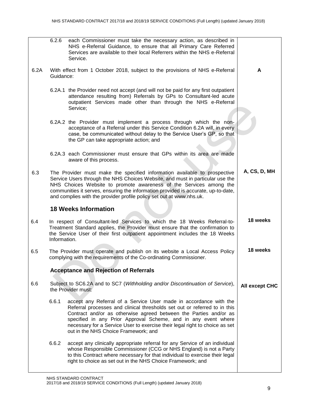|      | 6.2.6                                                                                               | each Commissioner must take the necessary action, as described in<br>NHS e-Referral Guidance, to ensure that all Primary Care Referred<br>Services are available to their local Referrers within the NHS e-Referral<br>Service.                                                                                                                                                                              |                |  |
|------|-----------------------------------------------------------------------------------------------------|--------------------------------------------------------------------------------------------------------------------------------------------------------------------------------------------------------------------------------------------------------------------------------------------------------------------------------------------------------------------------------------------------------------|----------------|--|
| 6.2A | Guidance:                                                                                           | With effect from 1 October 2018, subject to the provisions of NHS e-Referral                                                                                                                                                                                                                                                                                                                                 | A              |  |
|      |                                                                                                     | 6.2A.1 the Provider need not accept (and will not be paid for any first outpatient<br>attendance resulting from) Referrals by GPs to Consultant-led acute<br>outpatient Services made other than through the NHS e-Referral<br>Service;                                                                                                                                                                      |                |  |
|      |                                                                                                     | 6.2A.2 the Provider must implement a process through which the non-<br>acceptance of a Referral under this Service Condition 6.2A will, in every<br>case, be communicated without delay to the Service User's GP, so that<br>the GP can take appropriate action; and                                                                                                                                         |                |  |
|      |                                                                                                     | 6.2A.3 each Commissioner must ensure that GPs within its area are made<br>aware of this process.                                                                                                                                                                                                                                                                                                             |                |  |
| 6.3  |                                                                                                     | The Provider must make the specified information available to prospective<br>Service Users through the NHS Choices Website, and must in particular use the<br>NHS Choices Website to promote awareness of the Services among the<br>communities it serves, ensuring the information provided is accurate, up-to-date,<br>and complies with the provider profile policy set out at www.nhs.uk.                | A, CS, D, MH   |  |
|      | <b>18 Weeks Information</b>                                                                         |                                                                                                                                                                                                                                                                                                                                                                                                              |                |  |
| 6.4  | Information.                                                                                        | In respect of Consultant-led Services to which the 18 Weeks Referral-to-<br>Treatment Standard applies, the Provider must ensure that the confirmation to<br>the Service User of their first outpatient appointment includes the 18 Weeks                                                                                                                                                                    | 18 weeks       |  |
| 6.5  |                                                                                                     | The Provider must operate and publish on its website a Local Access Policy<br>complying with the requirements of the Co-ordinating Commissioner.                                                                                                                                                                                                                                                             | 18 weeks       |  |
|      |                                                                                                     | <b>Acceptance and Rejection of Referrals</b>                                                                                                                                                                                                                                                                                                                                                                 |                |  |
| 6.6  | Subject to SC6.2A and to SC7 (Withholding and/or Discontinuation of Service),<br>the Provider must: |                                                                                                                                                                                                                                                                                                                                                                                                              | All except CHC |  |
|      | 6.6.1                                                                                               | accept any Referral of a Service User made in accordance with the<br>Referral processes and clinical thresholds set out or referred to in this<br>Contract and/or as otherwise agreed between the Parties and/or as<br>specified in any Prior Approval Scheme, and in any event where<br>necessary for a Service User to exercise their legal right to choice as set<br>out in the NHS Choice Framework; and |                |  |
|      | 6.6.2                                                                                               | accept any clinically appropriate referral for any Service of an individual<br>whose Responsible Commissioner (CCG or NHS England) is not a Party<br>to this Contract where necessary for that individual to exercise their legal<br>right to choice as set out in the NHS Choice Framework; and                                                                                                             |                |  |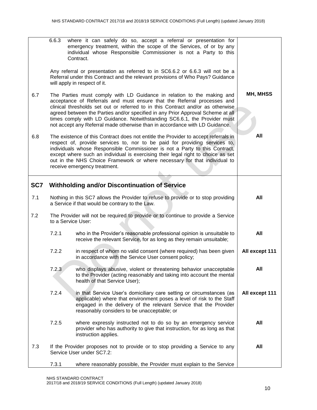|     | 6.6.3 | where it can safely do so, accept a referral or presentation for<br>emergency treatment, within the scope of the Services, of or by any<br>individual whose Responsible Commissioner is not a Party to this<br>Contract.                                                                                                                                                                                                                                                            |                |
|-----|-------|-------------------------------------------------------------------------------------------------------------------------------------------------------------------------------------------------------------------------------------------------------------------------------------------------------------------------------------------------------------------------------------------------------------------------------------------------------------------------------------|----------------|
|     |       | Any referral or presentation as referred to in SC6.6.2 or 6.6.3 will not be a<br>Referral under this Contract and the relevant provisions of Who Pays? Guidance<br>will apply in respect of it.                                                                                                                                                                                                                                                                                     |                |
| 6.7 |       | The Parties must comply with LD Guidance in relation to the making and<br>acceptance of Referrals and must ensure that the Referral processes and<br>clinical thresholds set out or referred to in this Contract and/or as otherwise<br>agreed between the Parties and/or specified in any Prior Approval Scheme at all<br>times comply with LD Guidance. Notwithstanding SC6.6.1, the Provider must<br>not accept any Referral made otherwise than in accordance with LD Guidance. | MH, MHSS       |
| 6.8 |       | The existence of this Contract does not entitle the Provider to accept referrals in<br>respect of, provide services to, nor to be paid for providing services to,<br>individuals whose Responsible Commissioner is not a Party to this Contract,<br>except where such an individual is exercising their legal right to choice as set<br>out in the NHS Choice Framework or where necessary for that individual to<br>receive emergency treatment.                                   | All            |
| SC7 |       | <b>Withholding and/or Discontinuation of Service</b>                                                                                                                                                                                                                                                                                                                                                                                                                                |                |
| 7.1 |       | Nothing in this SC7 allows the Provider to refuse to provide or to stop providing<br>a Service if that would be contrary to the Law.                                                                                                                                                                                                                                                                                                                                                | All            |
| 7.2 |       | The Provider will not be required to provide or to continue to provide a Service<br>to a Service User:                                                                                                                                                                                                                                                                                                                                                                              |                |
|     | 7.2.1 | who in the Provider's reasonable professional opinion is unsuitable to<br>receive the relevant Service, for as long as they remain unsuitable;                                                                                                                                                                                                                                                                                                                                      | All            |
|     | 7.2.2 | in respect of whom no valid consent (where required) has been given<br>in accordance with the Service User consent policy;                                                                                                                                                                                                                                                                                                                                                          | All except 111 |
|     | 7.2.3 | who displays abusive, violent or threatening behavior unacceptable<br>to the Provider (acting reasonably and taking into account the mental<br>health of that Service User);                                                                                                                                                                                                                                                                                                        | All            |
|     | 7.2.4 | in that Service User's domiciliary care setting or circumstances (as<br>applicable) where that environment poses a level of risk to the Staff<br>engaged in the delivery of the relevant Service that the Provider<br>reasonably considers to be unacceptable; or                                                                                                                                                                                                                   | All except 111 |
|     | 7.2.5 | where expressly instructed not to do so by an emergency service<br>provider who has authority to give that instruction, for as long as that<br>instruction applies.                                                                                                                                                                                                                                                                                                                 | All            |
| 7.3 |       | If the Provider proposes not to provide or to stop providing a Service to any<br>Service User under SC7.2:                                                                                                                                                                                                                                                                                                                                                                          | All            |
|     | 7.3.1 | where reasonably possible, the Provider must explain to the Service                                                                                                                                                                                                                                                                                                                                                                                                                 |                |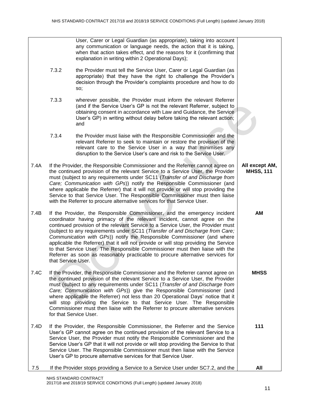|      |                    | User, Carer or Legal Guardian (as appropriate), taking into account<br>any communication or language needs, the action that it is taking,<br>when that action takes effect, and the reasons for it (confirming that<br>explanation in writing within 2 Operational Days);                                                                                                                                                                                                                                                                                                                                                                                       |                                    |
|------|--------------------|-----------------------------------------------------------------------------------------------------------------------------------------------------------------------------------------------------------------------------------------------------------------------------------------------------------------------------------------------------------------------------------------------------------------------------------------------------------------------------------------------------------------------------------------------------------------------------------------------------------------------------------------------------------------|------------------------------------|
|      | 7.3.2              | the Provider must tell the Service User, Carer or Legal Guardian (as<br>appropriate) that they have the right to challenge the Provider's<br>decision through the Provider's complaints procedure and how to do<br>SO;                                                                                                                                                                                                                                                                                                                                                                                                                                          |                                    |
|      | 7.3.3              | wherever possible, the Provider must inform the relevant Referrer<br>(and if the Service User's GP is not the relevant Referrer, subject to<br>obtaining consent in accordance with Law and Guidance, the Service<br>User's GP) in writing without delay before taking the relevant action;<br>and                                                                                                                                                                                                                                                                                                                                                              |                                    |
|      | 7.3.4              | the Provider must liaise with the Responsible Commissioner and the<br>relevant Referrer to seek to maintain or restore the provision of the<br>relevant care to the Service User in a way that minimises any<br>disruption to the Service User's care and risk to the Service User.                                                                                                                                                                                                                                                                                                                                                                             |                                    |
| 7.4A |                    | If the Provider, the Responsible Commissioner and the Referrer cannot agree on<br>the continued provision of the relevant Service to a Service User, the Provider<br>must (subject to any requirements under SC11 (Transfer of and Discharge from<br>Care; Communication with GPs)) notify the Responsible Commissioner (and<br>where applicable the Referrer) that it will not provide or will stop providing the<br>Service to that Service User. The Responsible Commissioner must then liaise<br>with the Referrer to procure alternative services for that Service User.                                                                                   | All except AM,<br><b>MHSS, 111</b> |
| 7.4B | that Service User. | If the Provider, the Responsible Commissioner, and the emergency incident<br>coordinator having primacy of the relevant incident, cannot agree on the<br>continued provision of the relevant Service to a Service User, the Provider must<br>(subject to any requirements under SC11 (Transfer of and Discharge from Care;<br>Communication with GPs)) notify the Responsible Commissioner (and where<br>applicable the Referrer) that it will not provide or will stop providing the Service<br>to that Service User. The Responsible Commissioner must then liaise with the<br>Referrer as soon as reasonably practicable to procure alternative services for | <b>AM</b>                          |
| 7.4C |                    | If the Provider, the Responsible Commissioner and the Referrer cannot agree on<br>the continued provision of the relevant Service to a Service User, the Provider<br>must (subject to any requirements under SC11 (Transfer of and Discharge from<br>Care; Communication with GPs)) give the Responsible Commissioner (and<br>where applicable the Referrer) not less than 20 Operational Days' notice that it<br>will stop providing the Service to that Service User. The Responsible<br>Commissioner must then liaise with the Referrer to procure alternative services<br>for that Service User.                                                            | <b>MHSS</b>                        |
| 7.4D |                    | If the Provider, the Responsible Commissioner, the Referrer and the Service<br>User's GP cannot agree on the continued provision of the relevant Service to a<br>Service User, the Provider must notify the Responsible Commissioner and the<br>Service User's GP that it will not provide or will stop providing the Service to that<br>Service User. The Responsible Commissioner must then liaise with the Service<br>User's GP to procure alternative services for that Service User.                                                                                                                                                                       | 111                                |
| 7.5  |                    | If the Provider stops providing a Service to a Service User under SC7.2, and the                                                                                                                                                                                                                                                                                                                                                                                                                                                                                                                                                                                | All                                |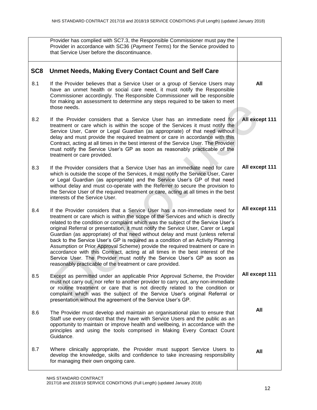|                 | Provider has complied with SC7.3, the Responsible Commissioner must pay the<br>Provider in accordance with SC36 (Payment Terms) for the Service provided to<br>that Service User before the discontinuance.                                                                                                                                                                                                                                                                                                                                                                                                                                                                                                                                                                                                                  |                |
|-----------------|------------------------------------------------------------------------------------------------------------------------------------------------------------------------------------------------------------------------------------------------------------------------------------------------------------------------------------------------------------------------------------------------------------------------------------------------------------------------------------------------------------------------------------------------------------------------------------------------------------------------------------------------------------------------------------------------------------------------------------------------------------------------------------------------------------------------------|----------------|
| SC <sub>8</sub> | <b>Unmet Needs, Making Every Contact Count and Self Care</b>                                                                                                                                                                                                                                                                                                                                                                                                                                                                                                                                                                                                                                                                                                                                                                 |                |
| 8.1             | If the Provider believes that a Service User or a group of Service Users may<br>have an unmet health or social care need, it must notify the Responsible<br>Commissioner accordingly. The Responsible Commissioner will be responsible<br>for making an assessment to determine any steps required to be taken to meet<br>those needs.                                                                                                                                                                                                                                                                                                                                                                                                                                                                                       | All            |
| 8.2             | If the Provider considers that a Service User has an immediate need for<br>treatment or care which is within the scope of the Services it must notify the<br>Service User, Carer or Legal Guardian (as appropriate) of that need without<br>delay and must provide the required treatment or care in accordance with this<br>Contract, acting at all times in the best interest of the Service User. The Provider<br>must notify the Service User's GP as soon as reasonably practicable of the<br>treatment or care provided.                                                                                                                                                                                                                                                                                               | All except 111 |
| 8.3             | If the Provider considers that a Service User has an immediate need for care<br>which is outside the scope of the Services, it must notify the Service User, Carer<br>or Legal Guardian (as appropriate) and the Service User's GP of that need<br>without delay and must co-operate with the Referrer to secure the provision to<br>the Service User of the required treatment or care, acting at all times in the best<br>interests of the Service User.                                                                                                                                                                                                                                                                                                                                                                   | All except 111 |
| 8.4             | If the Provider considers that a Service User has a non-immediate need for<br>treatment or care which is within the scope of the Services and which is directly<br>related to the condition or complaint which was the subject of the Service User's<br>original Referral or presentation, it must notify the Service User, Carer or Legal<br>Guardian (as appropriate) of that need without delay and must (unless referral<br>back to the Service User's GP is required as a condition of an Activity Planning<br>Assumption or Prior Approval Scheme) provide the required treatment or care in<br>accordance with this Contract, acting at all times in the best interest of the<br>Service User. The Provider must notify the Service User's GP as soon as<br>reasonably practicable of the treatment or care provided. | All except 111 |
| 8.5             | Except as permitted under an applicable Prior Approval Scheme, the Provider<br>must not carry out, nor refer to another provider to carry out, any non-immediate<br>or routine treatment or care that is not directly related to the condition or<br>complaint which was the subject of the Service User's original Referral or<br>presentation without the agreement of the Service User's GP.                                                                                                                                                                                                                                                                                                                                                                                                                              | All except 111 |
| 8.6             | The Provider must develop and maintain an organisational plan to ensure that<br>Staff use every contact that they have with Service Users and the public as an<br>opportunity to maintain or improve health and wellbeing, in accordance with the<br>principles and using the tools comprised in Making Every Contact Count<br>Guidance.                                                                                                                                                                                                                                                                                                                                                                                                                                                                                     | All            |
| 8.7             | Where clinically appropriate, the Provider must support Service Users to<br>develop the knowledge, skills and confidence to take increasing responsibility<br>for managing their own ongoing care.                                                                                                                                                                                                                                                                                                                                                                                                                                                                                                                                                                                                                           | All            |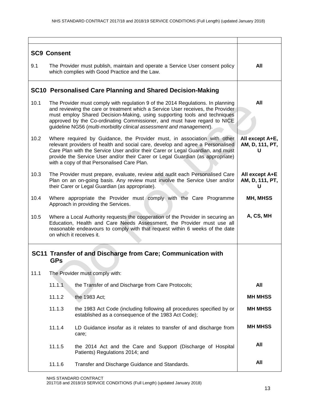| <b>SC9 Consent</b> |                                                                                                                                 |                                                                                                                                                                                                                                                                                                                                                                                                     |                                         |  |
|--------------------|---------------------------------------------------------------------------------------------------------------------------------|-----------------------------------------------------------------------------------------------------------------------------------------------------------------------------------------------------------------------------------------------------------------------------------------------------------------------------------------------------------------------------------------------------|-----------------------------------------|--|
| 9.1                | The Provider must publish, maintain and operate a Service User consent policy<br>which complies with Good Practice and the Law. |                                                                                                                                                                                                                                                                                                                                                                                                     |                                         |  |
|                    |                                                                                                                                 | SC10 Personalised Care Planning and Shared Decision-Making                                                                                                                                                                                                                                                                                                                                          |                                         |  |
| 10.1               |                                                                                                                                 | The Provider must comply with regulation 9 of the 2014 Regulations. In planning<br>and reviewing the care or treatment which a Service User receives, the Provider<br>must employ Shared Decision-Making, using supporting tools and techniques<br>approved by the Co-ordinating Commissioner, and must have regard to NICE<br>guideline NG56 (multi-morbidity clinical assessment and management). | All                                     |  |
| 10.2               |                                                                                                                                 | Where required by Guidance, the Provider must, in association with other<br>relevant providers of health and social care, develop and agree a Personalised<br>Care Plan with the Service User and/or their Carer or Legal Guardian, and must<br>provide the Service User and/or their Carer or Legal Guardian (as appropriate)<br>with a copy of that Personalised Care Plan.                       | All except A+E,<br>AM, D, 111, PT,<br>U |  |
| 10.3               |                                                                                                                                 | The Provider must prepare, evaluate, review and audit each Personalised Care<br>Plan on an on-going basis. Any review must involve the Service User and/or<br>their Carer or Legal Guardian (as appropriate).                                                                                                                                                                                       | All except A+E<br>AM, D, 111, PT,<br>U  |  |
| 10.4               |                                                                                                                                 | Where appropriate the Provider must comply with the Care Programme<br>Approach in providing the Services.                                                                                                                                                                                                                                                                                           | MH, MHSS                                |  |
| 10.5               |                                                                                                                                 | Where a Local Authority requests the cooperation of the Provider in securing an<br>Education, Health and Care Needs Assessment, the Provider must use all<br>reasonable endeavours to comply with that request within 6 weeks of the date<br>on which it receives it.                                                                                                                               | A, CS, MH                               |  |
|                    | <b>GPs</b>                                                                                                                      | SC11 Transfer of and Discharge from Care; Communication with                                                                                                                                                                                                                                                                                                                                        |                                         |  |
| 11.1               |                                                                                                                                 | The Provider must comply with:                                                                                                                                                                                                                                                                                                                                                                      |                                         |  |
|                    | 11.1.1                                                                                                                          | the Transfer of and Discharge from Care Protocols;                                                                                                                                                                                                                                                                                                                                                  | All                                     |  |
|                    | 11.1.2                                                                                                                          | the 1983 Act;                                                                                                                                                                                                                                                                                                                                                                                       | <b>MH MHSS</b>                          |  |
|                    | 11.1.3                                                                                                                          | the 1983 Act Code (including following all procedures specified by or<br>established as a consequence of the 1983 Act Code);                                                                                                                                                                                                                                                                        | <b>MH MHSS</b>                          |  |
|                    | 11.1.4                                                                                                                          | LD Guidance insofar as it relates to transfer of and discharge from<br>care;                                                                                                                                                                                                                                                                                                                        | <b>MH MHSS</b>                          |  |
|                    | 11.1.5                                                                                                                          | the 2014 Act and the Care and Support (Discharge of Hospital<br>Patients) Regulations 2014; and                                                                                                                                                                                                                                                                                                     | All                                     |  |
|                    | 11.1.6                                                                                                                          | Transfer and Discharge Guidance and Standards.                                                                                                                                                                                                                                                                                                                                                      | All                                     |  |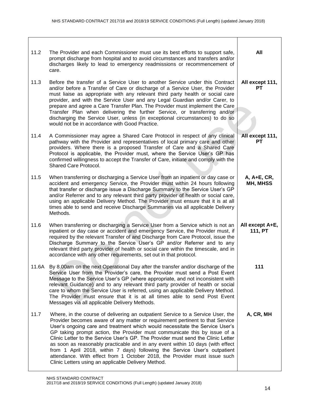| 11.2  | The Provider and each Commissioner must use its best efforts to support safe,<br>prompt discharge from hospital and to avoid circumstances and transfers and/or<br>discharges likely to lead to emergency readmissions or recommencement of<br>care.                                                                                                                                                                                                                                                                                                                                                                                                                                                                 | All                          |
|-------|----------------------------------------------------------------------------------------------------------------------------------------------------------------------------------------------------------------------------------------------------------------------------------------------------------------------------------------------------------------------------------------------------------------------------------------------------------------------------------------------------------------------------------------------------------------------------------------------------------------------------------------------------------------------------------------------------------------------|------------------------------|
| 11.3  | Before the transfer of a Service User to another Service under this Contract<br>and/or before a Transfer of Care or discharge of a Service User, the Provider<br>must liaise as appropriate with any relevant third party health or social care<br>provider, and with the Service User and any Legal Guardian and/or Carer, to<br>prepare and agree a Care Transfer Plan. The Provider must implement the Care<br>Transfer Plan when delivering the further Service, or transferring and/or<br>discharging the Service User, unless (in exceptional circumstances) to do so<br>would not be in accordance with Good Practice.                                                                                        | All except 111,<br>PТ        |
| 11.4  | A Commissioner may agree a Shared Care Protocol in respect of any clinical<br>pathway with the Provider and representatives of local primary care and other<br>providers. Where there is a proposed Transfer of Care and a Shared Care<br>Protocol is applicable, the Provider must, where the Service User's GP has<br>confirmed willingness to accept the Transfer of Care, initiate and comply with the<br>Shared Care Protocol.                                                                                                                                                                                                                                                                                  | All except 111,<br><b>PT</b> |
| 11.5  | When transferring or discharging a Service User from an inpatient or day case or<br>accident and emergency Service, the Provider must within 24 hours following<br>that transfer or discharge issue a Discharge Summary to the Service User's GP<br>and/or Referrer and to any relevant third party provider of health or social care,<br>using an applicable Delivery Method. The Provider must ensure that it is at all<br>times able to send and receive Discharge Summaries via all applicable Delivery<br>Methods.                                                                                                                                                                                              | A, A+E, CR,<br>MH, MHSS      |
| 11.6  | When transferring or discharging a Service User from a Service which is not an<br>inpatient or day case or accident and emergency Service, the Provider must, if<br>required by the relevant Transfer of and Discharge from Care Protocol, issue the<br>Discharge Summary to the Service User's GP and/or Referrer and to any<br>relevant third party provider of health or social care within the timescale, and in<br>accordance with any other requirements, set out in that protocol.                                                                                                                                                                                                                            | All except A+E,<br>111, PT   |
| 11.6A | By 8.00am on the next Operational Day after the transfer and/or discharge of the<br>Service User from the Provider's care, the Provider must send a Post Event<br>Message to the Service User's GP (where appropriate, and not inconsistent with<br>relevant Guidance) and to any relevant third party provider of health or social<br>care to whom the Service User is referred, using an applicable Delivery Method.<br>The Provider must ensure that it is at all times able to send Post Event<br>Messages via all applicable Delivery Methods.                                                                                                                                                                  | 111                          |
| 11.7  | Where, in the course of delivering an outpatient Service to a Service User, the<br>Provider becomes aware of any matter or requirement pertinent to that Service<br>User's ongoing care and treatment which would necessitate the Service User's<br>GP taking prompt action, the Provider must communicate this by issue of a<br>Clinic Letter to the Service User's GP. The Provider must send the Clinic Letter<br>as soon as reasonably practicable and in any event within 10 days (with effect<br>from 1 April 2018, within 7 days) following the Service User's outpatient<br>attendance. With effect from 1 October 2018, the Provider must issue such<br>Clinic Letters using an applicable Delivery Method. | A, CR, MH                    |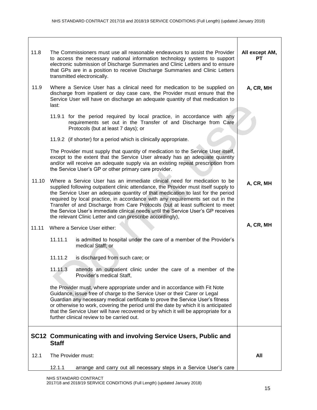| 11.8  | The Commissioners must use all reasonable endeavours to assist the Provider<br>to access the necessary national information technology systems to support<br>electronic submission of Discharge Summaries and Clinic Letters and to ensure<br>that GPs are in a position to receive Discharge Summaries and Clinic Letters<br>transmitted electronically.                                                                                                                                                                                                                | All except AM,<br>PТ |
|-------|--------------------------------------------------------------------------------------------------------------------------------------------------------------------------------------------------------------------------------------------------------------------------------------------------------------------------------------------------------------------------------------------------------------------------------------------------------------------------------------------------------------------------------------------------------------------------|----------------------|
| 11.9  | Where a Service User has a clinical need for medication to be supplied on<br>discharge from inpatient or day case care, the Provider must ensure that the<br>Service User will have on discharge an adequate quantity of that medication to<br>last:                                                                                                                                                                                                                                                                                                                     | A, CR, MH            |
|       | 11.9.1 for the period required by local practice, in accordance with any<br>requirements set out in the Transfer of and Discharge from Care<br>Protocols (but at least 7 days); or                                                                                                                                                                                                                                                                                                                                                                                       |                      |
|       | 11.9.2 (if shorter) for a period which is clinically appropriate.                                                                                                                                                                                                                                                                                                                                                                                                                                                                                                        |                      |
|       | The Provider must supply that quantity of medication to the Service User itself,<br>except to the extent that the Service User already has an adequate quantity<br>and/or will receive an adequate supply via an existing repeat prescription from<br>the Service User's GP or other primary care provider.                                                                                                                                                                                                                                                              |                      |
| 11.10 | Where a Service User has an immediate clinical need for medication to be<br>supplied following outpatient clinic attendance, the Provider must itself supply to<br>the Service User an adequate quantity of that medication to last for the period<br>required by local practice, in accordance with any requirements set out in the<br>Transfer of and Discharge from Care Protocols (but at least sufficient to meet<br>the Service User's immediate clinical needs until the Service User's GP receives<br>the relevant Clinic Letter and can prescribe accordingly), | A, CR, MH            |
| 11.11 | Where a Service User either:                                                                                                                                                                                                                                                                                                                                                                                                                                                                                                                                             | A, CR, MH            |
|       | 11.11.1<br>is admitted to hospital under the care of a member of the Provider's<br>medical Staff; or                                                                                                                                                                                                                                                                                                                                                                                                                                                                     |                      |
|       | 11.11.2<br>is discharged from such care; or                                                                                                                                                                                                                                                                                                                                                                                                                                                                                                                              |                      |
|       | 11.11.3<br>attends an outpatient clinic under the care of a member of the<br>Provider's medical Staff,                                                                                                                                                                                                                                                                                                                                                                                                                                                                   |                      |
|       | the Provider must, where appropriate under and in accordance with Fit Note<br>Guidance, issue free of charge to the Service User or their Carer or Legal<br>Guardian any necessary medical certificate to prove the Service User's fitness<br>or otherwise to work, covering the period until the date by which it is anticipated<br>that the Service User will have recovered or by which it will be appropriate for a<br>further clinical review to be carried out.                                                                                                    |                      |
|       | SC12 Communicating with and involving Service Users, Public and<br><b>Staff</b>                                                                                                                                                                                                                                                                                                                                                                                                                                                                                          |                      |
| 12.1  | The Provider must:                                                                                                                                                                                                                                                                                                                                                                                                                                                                                                                                                       | All                  |
|       | arrange and carry out all necessary steps in a Service User's care<br>12.1.1                                                                                                                                                                                                                                                                                                                                                                                                                                                                                             |                      |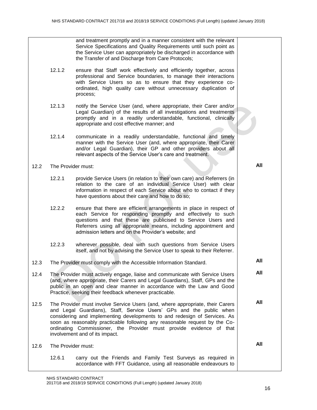|      |                    | and treatment promptly and in a manner consistent with the relevant<br>Service Specifications and Quality Requirements until such point as<br>the Service User can appropriately be discharged in accordance with<br>the Transfer of and Discharge from Care Protocols;                                                                                                                                                  |     |
|------|--------------------|--------------------------------------------------------------------------------------------------------------------------------------------------------------------------------------------------------------------------------------------------------------------------------------------------------------------------------------------------------------------------------------------------------------------------|-----|
|      | 12.1.2             | ensure that Staff work effectively and efficiently together, across<br>professional and Service boundaries, to manage their interactions<br>with Service Users so as to ensure that they experience co-<br>ordinated, high quality care without unnecessary duplication of<br>process;                                                                                                                                   |     |
|      | 12.1.3             | notify the Service User (and, where appropriate, their Carer and/or<br>Legal Guardian) of the results of all investigations and treatments<br>promptly and in a readily understandable, functional, clinically<br>appropriate and cost effective manner; and                                                                                                                                                             |     |
|      | 12.1.4             | communicate in a readily understandable, functional and timely<br>manner with the Service User (and, where appropriate, their Carer<br>and/or Legal Guardian), their GP and other providers about all<br>relevant aspects of the Service User's care and treatment.                                                                                                                                                      |     |
| 12.2 | The Provider must: |                                                                                                                                                                                                                                                                                                                                                                                                                          | All |
|      | 12.2.1             | provide Service Users (in relation to their own care) and Referrers (in<br>relation to the care of an individual Service User) with clear<br>information in respect of each Service about who to contact if they<br>have questions about their care and how to do so;                                                                                                                                                    |     |
|      | 12.2.2             | ensure that there are efficient arrangements in place in respect of<br>each Service for responding promptly and effectively to such<br>questions and that these are publicised to Service Users and<br>Referrers using all appropriate means, including appointment and<br>admission letters and on the Provider's website; and                                                                                          |     |
|      | 12.2.3             | wherever possible, deal with such questions from Service Users<br>itself, and not by advising the Service User to speak to their Referrer.                                                                                                                                                                                                                                                                               |     |
| 12.3 |                    | The Provider must comply with the Accessible Information Standard.                                                                                                                                                                                                                                                                                                                                                       | All |
| 12.4 |                    | The Provider must actively engage, liaise and communicate with Service Users<br>(and, where appropriate, their Carers and Legal Guardians), Staff, GPs and the<br>public in an open and clear manner in accordance with the Law and Good<br>Practice, seeking their feedback whenever practicable.                                                                                                                       | All |
| 12.5 |                    | The Provider must involve Service Users (and, where appropriate, their Carers<br>and Legal Guardians), Staff, Service Users' GPs and the public when<br>considering and implementing developments to and redesign of Services. As<br>soon as reasonably practicable following any reasonable request by the Co-<br>ordinating Commissioner, the Provider must provide evidence of that<br>involvement and of its impact. | All |
| 12.6 | The Provider must: |                                                                                                                                                                                                                                                                                                                                                                                                                          | All |
|      | 12.6.1             | carry out the Friends and Family Test Surveys as required in<br>accordance with FFT Guidance, using all reasonable endeavours to                                                                                                                                                                                                                                                                                         |     |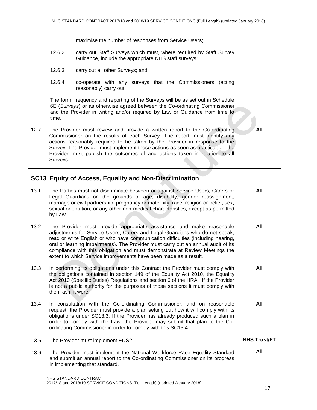|      |                     | maximise the number of responses from Service Users;                                                                                                                                                                                                                                                                                                                                                                                                                            |                     |
|------|---------------------|---------------------------------------------------------------------------------------------------------------------------------------------------------------------------------------------------------------------------------------------------------------------------------------------------------------------------------------------------------------------------------------------------------------------------------------------------------------------------------|---------------------|
|      | 12.6.2              | carry out Staff Surveys which must, where required by Staff Survey<br>Guidance, include the appropriate NHS staff surveys;                                                                                                                                                                                                                                                                                                                                                      |                     |
|      | 12.6.3              | carry out all other Surveys; and                                                                                                                                                                                                                                                                                                                                                                                                                                                |                     |
|      | 12.6.4              | co-operate with any surveys that the Commissioners (acting<br>reasonably) carry out.                                                                                                                                                                                                                                                                                                                                                                                            |                     |
|      | time.               | The form, frequency and reporting of the Surveys will be as set out in Schedule<br>6E (Surveys) or as otherwise agreed between the Co-ordinating Commissioner<br>and the Provider in writing and/or required by Law or Guidance from time to                                                                                                                                                                                                                                    |                     |
| 12.7 | Surveys.            | The Provider must review and provide a written report to the Co-ordinating<br>Commissioner on the results of each Survey. The report must identify any<br>actions reasonably required to be taken by the Provider in response to the<br>Survey. The Provider must implement those actions as soon as practicable. The<br>Provider must publish the outcomes of and actions taken in relation to all                                                                             | All                 |
|      |                     | SC13 Equity of Access, Equality and Non-Discrimination                                                                                                                                                                                                                                                                                                                                                                                                                          |                     |
| 13.1 | by Law.             | The Parties must not discriminate between or against Service Users, Carers or<br>Legal Guardians on the grounds of age, disability, gender reassignment;<br>marriage or civil partnership, pregnancy or maternity, race, religion or belief, sex,<br>sexual orientation, or any other non-medical characteristics, except as permitted                                                                                                                                          | All                 |
| 13.2 |                     | The Provider must provide appropriate assistance and make reasonable<br>adjustments for Service Users, Carers and Legal Guardians who do not speak,<br>read or write English or who have communication difficulties (including hearing,<br>oral or learning impairments). The Provider must carry out an annual audit of its<br>compliance with this obligation and must demonstrate at Review Meetings the<br>extent to which Service improvements have been made as a result. | All                 |
| 13.3 | them as if it were. | In performing its obligations under this Contract the Provider must comply with<br>the obligations contained in section 149 of the Equality Act 2010, the Equality<br>Act 2010 (Specific Duties) Regulations and section 6 of the HRA. If the Provider<br>is not a public authority for the purposes of those sections it must comply with                                                                                                                                      | All                 |
| 13.4 |                     | In consultation with the Co-ordinating Commissioner, and on reasonable<br>request, the Provider must provide a plan setting out how it will comply with its<br>obligations under SC13.3. If the Provider has already produced such a plan in<br>order to comply with the Law, the Provider may submit that plan to the Co-<br>ordinating Commissioner in order to comply with this SC13.4.                                                                                      | All                 |
| 13.5 |                     | The Provider must implement EDS2.                                                                                                                                                                                                                                                                                                                                                                                                                                               | <b>NHS Trust/FT</b> |
| 13.6 |                     | The Provider must implement the National Workforce Race Equality Standard<br>and submit an annual report to the Co-ordinating Commissioner on its progress<br>in implementing that standard.                                                                                                                                                                                                                                                                                    | All                 |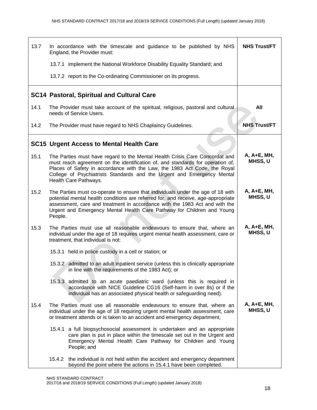| 13.7 | In accordance with the timescale and guidance to be published by NHS<br>England, the Provider must:                                                                                                                                                                                                                                           | <b>NHS Trust/FT</b>    |
|------|-----------------------------------------------------------------------------------------------------------------------------------------------------------------------------------------------------------------------------------------------------------------------------------------------------------------------------------------------|------------------------|
|      | 13.7.1 implement the National Workforce Disability Equality Standard; and                                                                                                                                                                                                                                                                     |                        |
|      | 13.7.2 report to the Co-ordinating Commissioner on its progress.                                                                                                                                                                                                                                                                              |                        |
|      | <b>SC14 Pastoral, Spiritual and Cultural Care</b>                                                                                                                                                                                                                                                                                             |                        |
| 14.1 | The Provider must take account of the spiritual, religious, pastoral and cultural<br>needs of Service Users.                                                                                                                                                                                                                                  | All                    |
| 14.2 | The Provider must have regard to NHS Chaplaincy Guidelines.                                                                                                                                                                                                                                                                                   | <b>NHS Trust/FT</b>    |
|      | <b>SC15 Urgent Access to Mental Health Care</b>                                                                                                                                                                                                                                                                                               |                        |
| 15.1 | The Parties must have regard to the Mental Health Crisis Care Concordat and<br>must reach agreement on the identification of, and standards for operation of,<br>Places of Safety in accordance with the Law, the 1983 Act Code, the Royal<br>College of Psychiatrists Standards and the Urgent and Emergency Mental<br>Health Care Pathways. | A, A+E, MH,<br>MHSS, U |
| 15.2 | The Parties must co-operate to ensure that individuals under the age of 18 with<br>potential mental health conditions are referred for, and receive, age-appropriate<br>assessment, care and treatment in accordance with the 1983 Act and with the<br>Urgent and Emergency Mental Health Care Pathway for Children and Young<br>People.      | A, A+E, MH,<br>MHSS, U |
| 15.3 | The Parties must use all reasonable endeavours to ensure that, where an<br>individual under the age of 18 requires urgent mental health assessment, care or<br>treatment, that individual is not:                                                                                                                                             | A, A+E, MH,<br>MHSS, U |
|      | 15.3.1 held in police custody in a cell or station; or                                                                                                                                                                                                                                                                                        |                        |
|      | 15.3.2 admitted to an adult inpatient service (unless this is clinically appropriate<br>in line with the requirements of the 1983 Act); or                                                                                                                                                                                                    |                        |
|      | 15.3.3 admitted to an acute paediatric ward (unless this is required in<br>accordance with NICE Guideline CG16 (Self-harm in over 8s) or if the<br>individual has an associated physical health or safeguarding need).                                                                                                                        |                        |
| 15.4 | The Parties must use all reasonable endeavours to ensure that, where an<br>individual under the age of 18 requiring urgent mental health assessment, care<br>or treatment attends or is taken to an accident and emergency department,                                                                                                        | A, A+E, MH,<br>MHSS, U |
|      | 15.4.1 a full biopsychosocial assessment is undertaken and an appropriate<br>care plan is put in place within the timescale set out in the Urgent and<br>Emergency Mental Health Care Pathway for Children and Young<br>People; and                                                                                                           |                        |
|      | 15.4.2 the individual is not held within the accident and emergency department<br>beyond the point where the actions in 15.4.1 have been completed.                                                                                                                                                                                           |                        |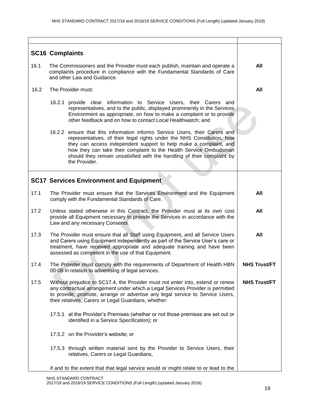|      | <b>SC16 Complaints</b>                                                                                                                                                                                                                                                                                                                                                                     |                     |
|------|--------------------------------------------------------------------------------------------------------------------------------------------------------------------------------------------------------------------------------------------------------------------------------------------------------------------------------------------------------------------------------------------|---------------------|
| 16.1 | The Commissioners and the Provider must each publish, maintain and operate a<br>complaints procedure in compliance with the Fundamental Standards of Care<br>and other Law and Guidance.                                                                                                                                                                                                   | All                 |
| 16.2 | The Provider must:                                                                                                                                                                                                                                                                                                                                                                         | All                 |
|      | 16.2.1<br>provide clear information to Service Users, their Carers and<br>representatives, and to the public, displayed prominently in the Services<br>Environment as appropriate, on how to make a complaint or to provide<br>other feedback and on how to contact Local Healthwatch; and                                                                                                 |                     |
|      | 16.2.2 ensure that this information informs Service Users, their Carers and<br>representatives, of their legal rights under the NHS Constitution, how<br>they can access independent support to help make a complaint, and<br>how they can take their complaint to the Health Service Ombudsman<br>should they remain unsatisfied with the handling of their complaint by<br>the Provider. |                     |
|      | <b>SC17 Services Environment and Equipment</b>                                                                                                                                                                                                                                                                                                                                             |                     |
| 17.1 | The Provider must ensure that the Services Environment and the Equipment<br>comply with the Fundamental Standards of Care.                                                                                                                                                                                                                                                                 | All                 |
| 17.2 | Unless stated otherwise in this Contract, the Provider must at its own cost<br>provide all Equipment necessary to provide the Services in accordance with the<br>Law and any necessary Consents.                                                                                                                                                                                           | All                 |
| 17.3 | The Provider must ensure that all Staff using Equipment, and all Service Users<br>and Carers using Equipment independently as part of the Service User's care or<br>treatment, have received appropriate and adequate training and have been<br>assessed as competent in the use of that Equipment.                                                                                        | All                 |
| 17.4 | The Provider must comply with the requirements of Department of Health HBN<br>00-08 in relation to advertising of legal services.                                                                                                                                                                                                                                                          | <b>NHS Trust/FT</b> |
| 17.5 | Without prejudice to SC17.4, the Provider must not enter into, extend or renew<br>any contractual arrangement under which a Legal Services Provider is permitted<br>to provide, promote, arrange or advertise any legal service to Service Users,<br>their relatives, Carers or Legal Guardians, whether:                                                                                  | <b>NHS Trust/FT</b> |
|      | 17.5.1 at the Provider's Premises (whether or not those premises are set out or<br>identified in a Service Specification); or                                                                                                                                                                                                                                                              |                     |
|      | 17.5.2 on the Provider's website; or                                                                                                                                                                                                                                                                                                                                                       |                     |
|      | 17.5.3 through written material sent by the Provider to Service Users, their<br>relatives, Carers or Legal Guardians,                                                                                                                                                                                                                                                                      |                     |
|      | if and to the extent that that legal service would or might relate to or lead to the                                                                                                                                                                                                                                                                                                       |                     |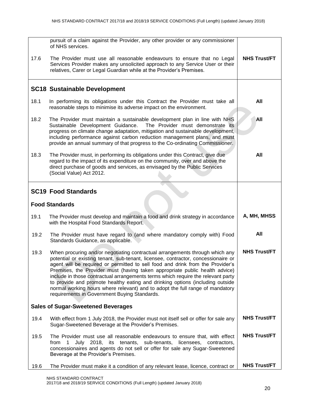|                                           | pursuit of a claim against the Provider, any other provider or any commissioner<br>of NHS services.                                                                                                                                                                                                                                                                                                                                                                                                                                                                                                                                      |                     |
|-------------------------------------------|------------------------------------------------------------------------------------------------------------------------------------------------------------------------------------------------------------------------------------------------------------------------------------------------------------------------------------------------------------------------------------------------------------------------------------------------------------------------------------------------------------------------------------------------------------------------------------------------------------------------------------------|---------------------|
| 17.6                                      | The Provider must use all reasonable endeavours to ensure that no Legal<br>Services Provider makes any unsolicited approach to any Service User or their<br>relatives, Carer or Legal Guardian while at the Provider's Premises.                                                                                                                                                                                                                                                                                                                                                                                                         | <b>NHS Trust/FT</b> |
|                                           | <b>SC18 Sustainable Development</b>                                                                                                                                                                                                                                                                                                                                                                                                                                                                                                                                                                                                      |                     |
| 18.1                                      | In performing its obligations under this Contract the Provider must take all<br>reasonable steps to minimise its adverse impact on the environment.                                                                                                                                                                                                                                                                                                                                                                                                                                                                                      | All                 |
| 18.2                                      | The Provider must maintain a sustainable development plan in line with NHS<br>Sustainable Development Guidance.<br>The Provider must demonstrate its<br>progress on climate change adaptation, mitigation and sustainable development,<br>including performance against carbon reduction management plans, and must<br>provide an annual summary of that progress to the Co-ordinating Commissioner.                                                                                                                                                                                                                                     | All                 |
| 18.3                                      | The Provider must, in performing its obligations under this Contract, give due<br>regard to the impact of its expenditure on the community, over and above the<br>direct purchase of goods and services, as envisaged by the Public Services<br>(Social Value) Act 2012.                                                                                                                                                                                                                                                                                                                                                                 | All                 |
| <b>SC19 Food Standards</b>                |                                                                                                                                                                                                                                                                                                                                                                                                                                                                                                                                                                                                                                          |                     |
|                                           | <b>Food Standards</b>                                                                                                                                                                                                                                                                                                                                                                                                                                                                                                                                                                                                                    |                     |
| 19.1                                      | The Provider must develop and maintain a food and drink strategy in accordance<br>with the Hospital Food Standards Report.                                                                                                                                                                                                                                                                                                                                                                                                                                                                                                               | A, MH, MHSS         |
| 19.2                                      | The Provider must have regard to (and where mandatory comply with) Food<br>Standards Guidance, as applicable.                                                                                                                                                                                                                                                                                                                                                                                                                                                                                                                            | All                 |
| 19.3                                      | When procuring and/or negotiating contractual arrangements through which any<br>potential or existing tenant, sub-tenant, licensee, contractor, concessionaire or<br>agent will be required or permitted to sell food and drink from the Provider's<br>Premises, the Provider must (having taken appropriate public health advice)<br>include in those contractual arrangements terms which require the relevant party<br>to provide and promote healthy eating and drinking options (including outside<br>normal working hours where relevant) and to adopt the full range of mandatory<br>requirements in Government Buying Standards. | <b>NHS Trust/FT</b> |
| <b>Sales of Sugar-Sweetened Beverages</b> |                                                                                                                                                                                                                                                                                                                                                                                                                                                                                                                                                                                                                                          |                     |
| 19.4                                      | With effect from 1 July 2018, the Provider must not itself sell or offer for sale any<br>Sugar-Sweetened Beverage at the Provider's Premises.                                                                                                                                                                                                                                                                                                                                                                                                                                                                                            | <b>NHS Trust/FT</b> |
| 19.5                                      | The Provider must use all reasonable endeavours to ensure that, with effect<br>July 2018, its tenants, sub-tenants, licensees, contractors,<br>from<br>concessionaires and agents do not sell or offer for sale any Sugar-Sweetened<br>Beverage at the Provider's Premises.                                                                                                                                                                                                                                                                                                                                                              | <b>NHS Trust/FT</b> |
| 19.6                                      | The Provider must make it a condition of any relevant lease, licence, contract or                                                                                                                                                                                                                                                                                                                                                                                                                                                                                                                                                        | <b>NHS Trust/FT</b> |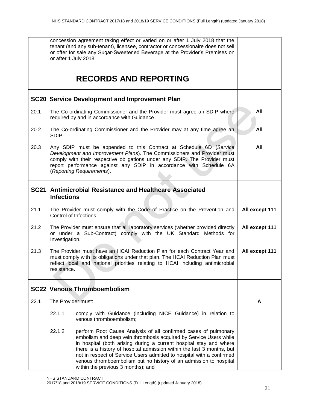|      |                                                                                                                                                                                                                                                             | concession agreement taking effect or varied on or after 1 July 2018 that the<br>tenant (and any sub-tenant), licensee, contractor or concessionaire does not sell<br>or offer for sale any Sugar-Sweetened Beverage at the Provider's Premises on<br>or after 1 July 2018.                                                                                                                                                                                              |                |
|------|-------------------------------------------------------------------------------------------------------------------------------------------------------------------------------------------------------------------------------------------------------------|--------------------------------------------------------------------------------------------------------------------------------------------------------------------------------------------------------------------------------------------------------------------------------------------------------------------------------------------------------------------------------------------------------------------------------------------------------------------------|----------------|
|      |                                                                                                                                                                                                                                                             | <b>RECORDS AND REPORTING</b>                                                                                                                                                                                                                                                                                                                                                                                                                                             |                |
|      |                                                                                                                                                                                                                                                             | <b>SC20 Service Development and Improvement Plan</b>                                                                                                                                                                                                                                                                                                                                                                                                                     |                |
| 20.1 |                                                                                                                                                                                                                                                             | The Co-ordinating Commissioner and the Provider must agree an SDIP where<br>required by and in accordance with Guidance.                                                                                                                                                                                                                                                                                                                                                 | All            |
| 20.2 | SDIP.                                                                                                                                                                                                                                                       | The Co-ordinating Commissioner and the Provider may at any time agree an                                                                                                                                                                                                                                                                                                                                                                                                 | All            |
| 20.3 |                                                                                                                                                                                                                                                             | Any SDIP must be appended to this Contract at Schedule 6D (Service<br>Development and Improvement Plans). The Commissioners and Provider must<br>comply with their respective obligations under any SDIP. The Provider must<br>report performance against any SDIP in accordance with Schedule 6A<br>(Reporting Requirements).                                                                                                                                           | All            |
|      | SC21 Antimicrobial Resistance and Healthcare Associated<br><b>Infections</b>                                                                                                                                                                                |                                                                                                                                                                                                                                                                                                                                                                                                                                                                          |                |
| 21.1 |                                                                                                                                                                                                                                                             | The Provider must comply with the Code of Practice on the Prevention and<br>Control of Infections.                                                                                                                                                                                                                                                                                                                                                                       | All except 111 |
| 21.2 | The Provider must ensure that all laboratory services (whether provided directly<br>or under a Sub-Contract) comply with the UK Standard Methods for<br>Investigation.                                                                                      |                                                                                                                                                                                                                                                                                                                                                                                                                                                                          | All except 111 |
| 21.3 | The Provider must have an HCAI Reduction Plan for each Contract Year and<br>must comply with its obligations under that plan. The HCAI Reduction Plan must<br>reflect local and national priorities relating to HCAI including antimicrobial<br>resistance. |                                                                                                                                                                                                                                                                                                                                                                                                                                                                          | All except 111 |
|      |                                                                                                                                                                                                                                                             | <b>SC22 Venous Thromboembolism</b>                                                                                                                                                                                                                                                                                                                                                                                                                                       |                |
| 22.1 | The Provider must:                                                                                                                                                                                                                                          |                                                                                                                                                                                                                                                                                                                                                                                                                                                                          | A              |
|      | 22.1.1                                                                                                                                                                                                                                                      | comply with Guidance (including NICE Guidance) in relation to<br>venous thromboembolism;                                                                                                                                                                                                                                                                                                                                                                                 |                |
|      | 22.1.2                                                                                                                                                                                                                                                      | perform Root Cause Analysis of all confirmed cases of pulmonary<br>embolism and deep vein thrombosis acquired by Service Users while<br>in hospital (both arising during a current hospital stay and where<br>there is a history of hospital admission within the last 3 months, but<br>not in respect of Service Users admitted to hospital with a confirmed<br>venous thromboembolism but no history of an admission to hospital<br>within the previous 3 months); and |                |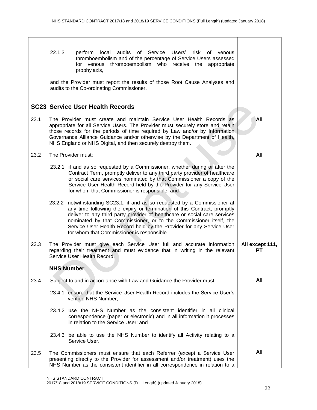|      | 22.1.3<br>for venous<br>prophylaxis,<br>audits to the Co-ordinating Commissioner. | perform local audits of Service Users' risk of venous<br>thromboembolism and of the percentage of Service Users assessed<br>thromboembolism who receive the appropriate<br>and the Provider must report the results of those Root Cause Analyses and                                                                                                                             |                       |
|------|-----------------------------------------------------------------------------------|----------------------------------------------------------------------------------------------------------------------------------------------------------------------------------------------------------------------------------------------------------------------------------------------------------------------------------------------------------------------------------|-----------------------|
|      |                                                                                   |                                                                                                                                                                                                                                                                                                                                                                                  |                       |
|      | <b>SC23 Service User Health Records</b>                                           |                                                                                                                                                                                                                                                                                                                                                                                  |                       |
| 23.1 | NHS England or NHS Digital, and then securely destroy them.                       | The Provider must create and maintain Service User Health Records as<br>appropriate for all Service Users. The Provider must securely store and retain<br>those records for the periods of time required by Law and/or by Information<br>Governance Alliance Guidance and/or otherwise by the Department of Health,                                                              | All                   |
| 23.2 | The Provider must:                                                                |                                                                                                                                                                                                                                                                                                                                                                                  | All                   |
|      | for whom that Commissioner is responsible; and                                    | 23.2.1 if and as so requested by a Commissioner, whether during or after the<br>Contract Term, promptly deliver to any third party provider of healthcare<br>or social care services nominated by that Commissioner a copy of the<br>Service User Health Record held by the Provider for any Service User                                                                        |                       |
|      | for whom that Commissioner is responsible.                                        | 23.2.2 notwithstanding SC23.1, if and as so requested by a Commissioner at<br>any time following the expiry or termination of this Contract, promptly<br>deliver to any third party provider of healthcare or social care services<br>nominated by that Commissioner, or to the Commissioner itself, the<br>Service User Health Record held by the Provider for any Service User |                       |
| 23.3 | Service User Health Record.                                                       | The Provider must give each Service User full and accurate information<br>regarding their treatment and must evidence that in writing in the relevant                                                                                                                                                                                                                            | All except 111,<br>PТ |
|      | <b>NHS Number</b>                                                                 |                                                                                                                                                                                                                                                                                                                                                                                  |                       |
| 23.4 |                                                                                   | Subject to and in accordance with Law and Guidance the Provider must:                                                                                                                                                                                                                                                                                                            | All                   |
|      | verified NHS Number;                                                              | 23.4.1 ensure that the Service User Health Record includes the Service User's                                                                                                                                                                                                                                                                                                    |                       |
|      | in relation to the Service User; and                                              | 23.4.2 use the NHS Number as the consistent identifier in all clinical<br>correspondence (paper or electronic) and in all information it processes                                                                                                                                                                                                                               |                       |
|      | Service User.                                                                     | 23.4.3 be able to use the NHS Number to identify all Activity relating to a                                                                                                                                                                                                                                                                                                      |                       |
| 23.5 |                                                                                   | The Commissioners must ensure that each Referrer (except a Service User<br>presenting directly to the Provider for assessment and/or treatment) uses the<br>NHS Number as the consistent identifier in all correspondence in relation to a                                                                                                                                       | All                   |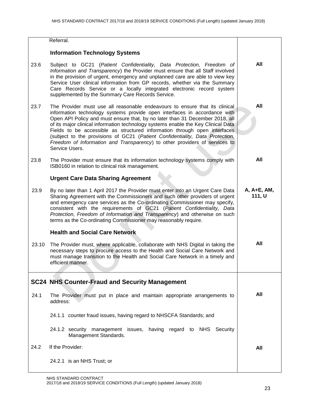|       | Referral.                                                                                                                                                                                                                                                                                                                                                                                                                                                                                                                                                                                   |                       |
|-------|---------------------------------------------------------------------------------------------------------------------------------------------------------------------------------------------------------------------------------------------------------------------------------------------------------------------------------------------------------------------------------------------------------------------------------------------------------------------------------------------------------------------------------------------------------------------------------------------|-----------------------|
|       | <b>Information Technology Systems</b>                                                                                                                                                                                                                                                                                                                                                                                                                                                                                                                                                       |                       |
| 23.6  | Subject to GC21 (Patient Confidentiality, Data Protection, Freedom of<br>Information and Transparency) the Provider must ensure that all Staff involved<br>in the provision of urgent, emergency and unplanned care are able to view key<br>Service User clinical information from GP records, whether via the Summary<br>Care Records Service or a locally integrated electronic record system<br>supplemented by the Summary Care Records Service.                                                                                                                                        | All                   |
| 23.7  | The Provider must use all reasonable endeavours to ensure that its clinical<br>information technology systems provide open interfaces in accordance with<br>Open API Policy and must ensure that, by no later than 31 December 2018, all<br>of its major clinical information technology systems enable the Key Clinical Data<br>Fields to be accessible as structured information through open interfaces<br>(subject to the provisions of GC21 (Patient Confidentiality, Data Protection,<br>Freedom of Information and Transparency) to other providers of services to<br>Service Users. | All                   |
| 23.8  | The Provider must ensure that its information technology systems comply with<br>ISB0160 in relation to clinical risk management.                                                                                                                                                                                                                                                                                                                                                                                                                                                            | All                   |
|       | <b>Urgent Care Data Sharing Agreement</b>                                                                                                                                                                                                                                                                                                                                                                                                                                                                                                                                                   |                       |
| 23.9  | By no later than 1 April 2017 the Provider must enter into an Urgent Care Data<br>Sharing Agreement with the Commissioners and such other providers of urgent<br>and emergency care services as the Co-ordinating Commissioner may specify,<br>consistent with the requirements of GC21 (Patient Confidentiality, Data<br>Protection, Freedom of Information and Transparency) and otherwise on such<br>terms as the Co-ordinating Commissioner may reasonably require.                                                                                                                     | A, A+E, AM,<br>111, U |
|       | <b>Health and Social Care Network</b>                                                                                                                                                                                                                                                                                                                                                                                                                                                                                                                                                       |                       |
| 23.10 | The Provider must, where applicable, collaborate with NHS Digital in taking the<br>necessary steps to procure access to the Health and Social Care Network and<br>must manage transition to the Health and Social Care Network in a timely and<br>efficient manner.                                                                                                                                                                                                                                                                                                                         | All                   |
|       | <b>SC24 NHS Counter-Fraud and Security Management</b>                                                                                                                                                                                                                                                                                                                                                                                                                                                                                                                                       |                       |
| 24.1  | The Provider must put in place and maintain appropriate arrangements to<br>address:                                                                                                                                                                                                                                                                                                                                                                                                                                                                                                         | All                   |
|       | 24.1.1 counter fraud issues, having regard to NHSCFA Standards; and                                                                                                                                                                                                                                                                                                                                                                                                                                                                                                                         |                       |
|       | 24.1.2 security management issues, having regard to NHS Security<br>Management Standards.                                                                                                                                                                                                                                                                                                                                                                                                                                                                                                   |                       |
| 24.2  | If the Provider:                                                                                                                                                                                                                                                                                                                                                                                                                                                                                                                                                                            | All                   |
|       | 24.2.1 is an NHS Trust; or                                                                                                                                                                                                                                                                                                                                                                                                                                                                                                                                                                  |                       |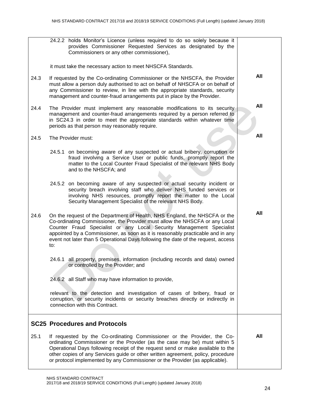|      | 24.2.2 holds Monitor's Licence (unless required to do so solely because it<br>provides Commissioner Requested Services as designated by the<br>Commissioners or any other commissioner),<br>it must take the necessary action to meet NHSCFA Standards.                                                                                                                                                          |     |
|------|------------------------------------------------------------------------------------------------------------------------------------------------------------------------------------------------------------------------------------------------------------------------------------------------------------------------------------------------------------------------------------------------------------------|-----|
| 24.3 | If requested by the Co-ordinating Commissioner or the NHSCFA, the Provider<br>must allow a person duly authorised to act on behalf of NHSCFA or on behalf of<br>any Commissioner to review, in line with the appropriate standards, security<br>management and counter-fraud arrangements put in place by the Provider.                                                                                          | All |
| 24.4 | The Provider must implement any reasonable modifications to its security<br>management and counter-fraud arrangements required by a person referred to<br>in SC24.3 in order to meet the appropriate standards within whatever time<br>periods as that person may reasonably require.                                                                                                                            | All |
| 24.5 | The Provider must:                                                                                                                                                                                                                                                                                                                                                                                               | All |
|      | 24.5.1 on becoming aware of any suspected or actual bribery, corruption or<br>fraud involving a Service User or public funds, promptly report the<br>matter to the Local Counter Fraud Specialist of the relevant NHS Body<br>and to the NHSCFA; and                                                                                                                                                             |     |
|      | 24.5.2 on becoming aware of any suspected or actual security incident or<br>security breach involving staff who deliver NHS funded services or<br>involving NHS resources, promptly report the matter to the Local<br>Security Management Specialist of the relevant NHS Body.                                                                                                                                   |     |
| 24.6 | On the request of the Department of Health, NHS England, the NHSCFA or the<br>Co-ordinating Commissioner, the Provider must allow the NHSCFA or any Local<br>Counter Fraud Specialist or any Local Security Management Specialist<br>appointed by a Commissioner, as soon as it is reasonably practicable and in any<br>event not later than 5 Operational Days following the date of the request, access<br>to: | All |
|      | 24.6.1 all property, premises, information (including records and data) owned<br>or controlled by the Provider; and                                                                                                                                                                                                                                                                                              |     |
|      | 24.6.2 all Staff who may have information to provide,                                                                                                                                                                                                                                                                                                                                                            |     |
|      | relevant to the detection and investigation of cases of bribery, fraud or<br>corruption, or security incidents or security breaches directly or indirectly in<br>connection with this Contract.                                                                                                                                                                                                                  |     |
|      | <b>SC25 Procedures and Protocols</b>                                                                                                                                                                                                                                                                                                                                                                             |     |
| 25.1 | If requested by the Co-ordinating Commissioner or the Provider, the Co-<br>ordinating Commissioner or the Provider (as the case may be) must within 5<br>Operational Days following receipt of the request send or make available to the<br>other copies of any Services guide or other written agreement, policy, procedure<br>or protocol implemented by any Commissioner or the Provider (as applicable).     | All |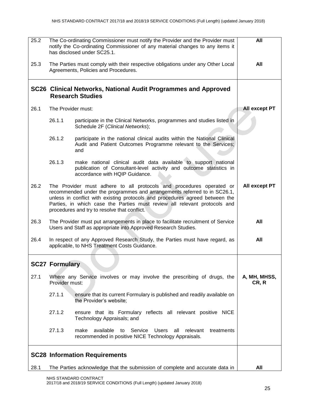| 25.2 | The Co-ordinating Commissioner must notify the Provider and the Provider must<br>notify the Co-ordinating Commissioner of any material changes to any items it<br>has disclosed under SC25.1. | All                                                                                                                                                                                                                                                                                                                                                           |                       |
|------|-----------------------------------------------------------------------------------------------------------------------------------------------------------------------------------------------|---------------------------------------------------------------------------------------------------------------------------------------------------------------------------------------------------------------------------------------------------------------------------------------------------------------------------------------------------------------|-----------------------|
| 25.3 |                                                                                                                                                                                               | The Parties must comply with their respective obligations under any Other Local<br>Agreements, Policies and Procedures.                                                                                                                                                                                                                                       | All                   |
|      |                                                                                                                                                                                               | SC26 Clinical Networks, National Audit Programmes and Approved<br><b>Research Studies</b>                                                                                                                                                                                                                                                                     |                       |
| 26.1 | The Provider must:                                                                                                                                                                            |                                                                                                                                                                                                                                                                                                                                                               | All except PT         |
|      | 26.1.1                                                                                                                                                                                        | participate in the Clinical Networks, programmes and studies listed in<br>Schedule 2F (Clinical Networks);                                                                                                                                                                                                                                                    |                       |
|      | 26.1.2                                                                                                                                                                                        | participate in the national clinical audits within the National Clinical<br>Audit and Patient Outcomes Programme relevant to the Services;<br>and                                                                                                                                                                                                             |                       |
|      | 26.1.3                                                                                                                                                                                        | make national clinical audit data available to support national<br>publication of Consultant-level activity and outcome statistics in<br>accordance with HQIP Guidance.                                                                                                                                                                                       |                       |
| 26.2 |                                                                                                                                                                                               | The Provider must adhere to all protocols and procedures operated or<br>recommended under the programmes and arrangements referred to in SC26.1,<br>unless in conflict with existing protocols and procedures agreed between the<br>Parties, in which case the Parties must review all relevant protocols and<br>procedures and try to resolve that conflict. | All except PT         |
| 26.3 | The Provider must put arrangements in place to facilitate recruitment of Service<br>Users and Staff as appropriate into Approved Research Studies.                                            | All                                                                                                                                                                                                                                                                                                                                                           |                       |
| 26.4 | In respect of any Approved Research Study, the Parties must have regard, as<br>applicable, to NHS Treatment Costs Guidance.                                                                   | All                                                                                                                                                                                                                                                                                                                                                           |                       |
|      | <b>SC27 Formulary</b>                                                                                                                                                                         |                                                                                                                                                                                                                                                                                                                                                               |                       |
| 27.1 | Provider must:                                                                                                                                                                                | Where any Service involves or may involve the prescribing of drugs, the                                                                                                                                                                                                                                                                                       | A, MH, MHSS,<br>CR, R |
|      | 27.1.1                                                                                                                                                                                        | ensure that its current Formulary is published and readily available on<br>the Provider's website;                                                                                                                                                                                                                                                            |                       |
|      | 27.1.2                                                                                                                                                                                        | ensure that its Formulary reflects all relevant positive NICE<br>Technology Appraisals; and                                                                                                                                                                                                                                                                   |                       |
|      | 27.1.3                                                                                                                                                                                        | make<br>available<br>Service<br>Users<br>relevant<br>treatments<br>to<br>all<br>recommended in positive NICE Technology Appraisals.                                                                                                                                                                                                                           |                       |
|      |                                                                                                                                                                                               | <b>SC28 Information Requirements</b>                                                                                                                                                                                                                                                                                                                          |                       |
| 28.1 |                                                                                                                                                                                               | The Parties acknowledge that the submission of complete and accurate data in                                                                                                                                                                                                                                                                                  | All                   |

NHS STANDARD CONTRACT 2017/18 and 2018/19 SERVICE CONDITIONS (Full Length) (updated January 2018)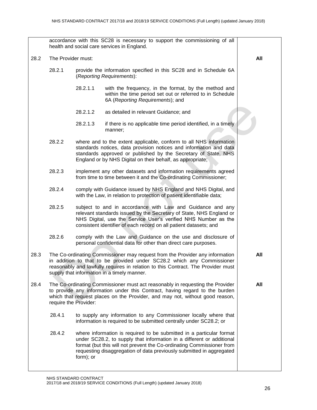accordance with this SC28 is necessary to support the commissioning of all health and social care services in England. 28.2 The Provider must: 28.2.1 provide the information specified in this SC28 and in Schedule 6A (*Reporting Requirements*): 28.2.1.1 with the frequency, in the format, by the method and within the time period set out or referred to in Schedule 6A (*Reporting Requirements*); and 28.2.1.2 as detailed in relevant Guidance; and 28.2.1.3 if there is no applicable time period identified, in a timely manner; 28.2.2 where and to the extent applicable, conform to all NHS information standards notices, data provision notices and information and data standards approved or published by the Secretary of State, NHS England or by NHS Digital on their behalf, as appropriate; 28.2.3 implement any other datasets and information requirements agreed from time to time between it and the Co-ordinating Commissioner; 28.2.4 comply with Guidance issued by NHS England and NHS Digital, and with the Law, in relation to protection of patient identifiable data; 28.2.5 subject to and in accordance with Law and Guidance and any relevant standards issued by the Secretary of State, NHS England or NHS Digital, use the Service User's verified NHS Number as the consistent identifier of each record on all patient datasets; and 28.2.6 comply with the Law and Guidance on the use and disclosure of personal confidential data for other than direct care purposes. 28.3 The Co-ordinating Commissioner may request from the Provider any information in addition to that to be provided under SC28.2 which any Commissioner reasonably and lawfully requires in relation to this Contract. The Provider must supply that information in a timely manner. 28.4 The Co-ordinating Commissioner must act reasonably in requesting the Provider to provide any information under this Contract, having regard to the burden which that request places on the Provider, and may not, without good reason, require the Provider: 28.4.1 to supply any information to any Commissioner locally where that information is required to be submitted centrally under SC28.2; or 28.4.2 where information is required to be submitted in a particular format under SC28.2, to supply that information in a different or additional format (but this will not prevent the Co-ordinating Commissioner from requesting disaggregation of data previously submitted in aggregated form); or **All All All**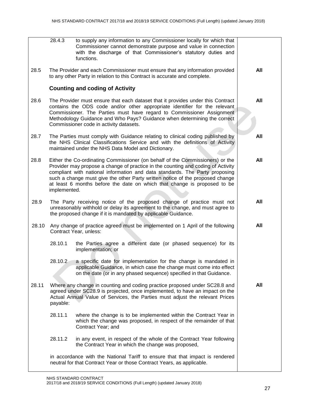|       | 28.4.3       | to supply any information to any Commissioner locally for which that<br>Commissioner cannot demonstrate purpose and value in connection<br>with the discharge of that Commissioner's statutory duties and<br>functions.                                                                                                                                                                                       |     |
|-------|--------------|---------------------------------------------------------------------------------------------------------------------------------------------------------------------------------------------------------------------------------------------------------------------------------------------------------------------------------------------------------------------------------------------------------------|-----|
| 28.5  |              | The Provider and each Commissioner must ensure that any information provided<br>to any other Party in relation to this Contract is accurate and complete.                                                                                                                                                                                                                                                     | All |
|       |              | <b>Counting and coding of Activity</b>                                                                                                                                                                                                                                                                                                                                                                        |     |
| 28.6  |              | The Provider must ensure that each dataset that it provides under this Contract<br>contains the ODS code and/or other appropriate identifier for the relevant<br>Commissioner. The Parties must have regard to Commissioner Assignment<br>Methodology Guidance and Who Pays? Guidance when determining the correct<br>Commissioner code in activity datasets.                                                 | All |
| 28.7  |              | The Parties must comply with Guidance relating to clinical coding published by<br>the NHS Clinical Classifications Service and with the definitions of Activity<br>maintained under the NHS Data Model and Dictionary.                                                                                                                                                                                        | All |
| 28.8  | implemented. | Either the Co-ordinating Commissioner (on behalf of the Commissioners) or the<br>Provider may propose a change of practice in the counting and coding of Activity<br>compliant with national information and data standards. The Party proposing<br>such a change must give the other Party written notice of the proposed change<br>at least 6 months before the date on which that change is proposed to be | All |
| 28.9  |              | The Party receiving notice of the proposed change of practice must not<br>unreasonably withhold or delay its agreement to the change, and must agree to<br>the proposed change if it is mandated by applicable Guidance.                                                                                                                                                                                      | All |
| 28.10 |              | Any change of practice agreed must be implemented on 1 April of the following<br>Contract Year, unless:                                                                                                                                                                                                                                                                                                       | All |
|       | 28.10.1      | the Parties agree a different date (or phased sequence) for its<br>implementation; or                                                                                                                                                                                                                                                                                                                         |     |
|       | 28.10.2      | a specific date for implementation for the change is mandated in<br>applicable Guidance, in which case the change must come into effect<br>on the date (or in any phased sequence) specified in that Guidance.                                                                                                                                                                                                |     |
| 28.11 | payable:     | Where any change in counting and coding practice proposed under SC28.8 and<br>agreed under SC28.9 is projected, once implemented, to have an impact on the<br>Actual Annual Value of Services, the Parties must adjust the relevant Prices                                                                                                                                                                    | All |
|       | 28.11.1      | where the change is to be implemented within the Contract Year in<br>which the change was proposed, in respect of the remainder of that<br>Contract Year; and                                                                                                                                                                                                                                                 |     |
|       | 28.11.2      | in any event, in respect of the whole of the Contract Year following<br>the Contract Year in which the change was proposed,                                                                                                                                                                                                                                                                                   |     |
|       |              | in accordance with the National Tariff to ensure that that impact is rendered<br>neutral for that Contract Year or those Contract Years, as applicable.                                                                                                                                                                                                                                                       |     |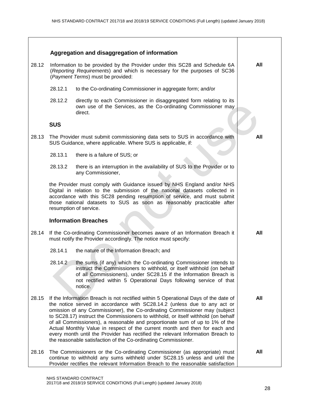|       | Aggregation and disaggregation of information                                                                                                                                                                                                                                                                                                                                                                                                                                                                                                                                                                                                         |     |
|-------|-------------------------------------------------------------------------------------------------------------------------------------------------------------------------------------------------------------------------------------------------------------------------------------------------------------------------------------------------------------------------------------------------------------------------------------------------------------------------------------------------------------------------------------------------------------------------------------------------------------------------------------------------------|-----|
| 28.12 | Information to be provided by the Provider under this SC28 and Schedule 6A<br>(Reporting Requirements) and which is necessary for the purposes of SC36<br>(Payment Terms) must be provided:                                                                                                                                                                                                                                                                                                                                                                                                                                                           | All |
|       | 28.12.1<br>to the Co-ordinating Commissioner in aggregate form; and/or                                                                                                                                                                                                                                                                                                                                                                                                                                                                                                                                                                                |     |
|       | 28.12.2<br>directly to each Commissioner in disaggregated form relating to its<br>own use of the Services, as the Co-ordinating Commissioner may<br>direct.                                                                                                                                                                                                                                                                                                                                                                                                                                                                                           |     |
|       | <b>SUS</b>                                                                                                                                                                                                                                                                                                                                                                                                                                                                                                                                                                                                                                            |     |
| 28.13 | The Provider must submit commissioning data sets to SUS in accordance with<br>SUS Guidance, where applicable. Where SUS is applicable, if:                                                                                                                                                                                                                                                                                                                                                                                                                                                                                                            | All |
|       | 28.13.1<br>there is a failure of SUS; or                                                                                                                                                                                                                                                                                                                                                                                                                                                                                                                                                                                                              |     |
|       | 28.13.2<br>there is an interruption in the availability of SUS to the Provider or to<br>any Commissioner,                                                                                                                                                                                                                                                                                                                                                                                                                                                                                                                                             |     |
|       | the Provider must comply with Guidance issued by NHS England and/or NHS<br>Digital in relation to the submission of the national datasets collected in<br>accordance with this SC28 pending resumption of service, and must submit<br>those national datasets to SUS as soon as reasonably practicable after<br>resumption of service.                                                                                                                                                                                                                                                                                                                |     |
|       | <b>Information Breaches</b>                                                                                                                                                                                                                                                                                                                                                                                                                                                                                                                                                                                                                           |     |
| 28.14 | If the Co-ordinating Commissioner becomes aware of an Information Breach it<br>must notify the Provider accordingly. The notice must specify:                                                                                                                                                                                                                                                                                                                                                                                                                                                                                                         | All |
|       | 28.14.1<br>the nature of the Information Breach; and                                                                                                                                                                                                                                                                                                                                                                                                                                                                                                                                                                                                  |     |
|       | 28.14.2<br>the sums (if any) which the Co-ordinating Commissioner intends to<br>instruct the Commissioners to withhold, or itself withhold (on behalf<br>of all Commissioners), under SC28.15 if the Information Breach is<br>not rectified within 5 Operational Days following service of that<br>notice.                                                                                                                                                                                                                                                                                                                                            |     |
| 28.15 | If the Information Breach is not rectified within 5 Operational Days of the date of<br>the notice served in accordance with SC28.14.2 (unless due to any act or<br>omission of any Commissioner), the Co-ordinating Commissioner may (subject<br>to SC28.17) instruct the Commissioners to withhold, or itself withhold (on behalf<br>of all Commissioners), a reasonable and proportionate sum of up to 1% of the<br>Actual Monthly Value in respect of the current month and then for each and<br>every month until the Provider has rectified the relevant Information Breach to<br>the reasonable satisfaction of the Co-ordinating Commissioner. | All |
| 28.16 | The Commissioners or the Co-ordinating Commissioner (as appropriate) must<br>continue to withhold any sums withheld under SC28.15 unless and until the<br>Provider rectifies the relevant Information Breach to the reasonable satisfaction                                                                                                                                                                                                                                                                                                                                                                                                           | All |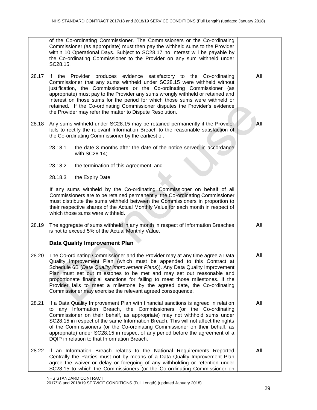|       | of the Co-ordinating Commissioner. The Commissioners or the Co-ordinating<br>Commissioner (as appropriate) must then pay the withheld sums to the Provider<br>within 10 Operational Days. Subject to SC28.17 no Interest will be payable by<br>the Co-ordinating Commissioner to the Provider on any sum withheld under<br>SC28.15.                                                                                                                                                                                                        |            |  |
|-------|--------------------------------------------------------------------------------------------------------------------------------------------------------------------------------------------------------------------------------------------------------------------------------------------------------------------------------------------------------------------------------------------------------------------------------------------------------------------------------------------------------------------------------------------|------------|--|
| 28.17 | If the Provider produces evidence satisfactory to the Co-ordinating<br>Commissioner that any sums withheld under SC28.15 were withheld without<br>justification, the Commissioners or the Co-ordinating Commissioner (as<br>appropriate) must pay to the Provider any sums wrongly withheld or retained and<br>Interest on those sums for the period for which those sums were withheld or<br>retained. If the Co-ordinating Commissioner disputes the Provider's evidence<br>the Provider may refer the matter to Dispute Resolution.     | All        |  |
| 28.18 | Any sums withheld under SC28.15 may be retained permanently if the Provider<br>fails to rectify the relevant Information Breach to the reasonable satisfaction of<br>the Co-ordinating Commissioner by the earliest of:                                                                                                                                                                                                                                                                                                                    | <b>All</b> |  |
|       | 28.18.1<br>the date 3 months after the date of the notice served in accordance<br>with SC28.14;                                                                                                                                                                                                                                                                                                                                                                                                                                            |            |  |
|       | 28.18.2<br>the termination of this Agreement; and                                                                                                                                                                                                                                                                                                                                                                                                                                                                                          |            |  |
|       | 28.18.3<br>the Expiry Date.                                                                                                                                                                                                                                                                                                                                                                                                                                                                                                                |            |  |
|       | If any sums withheld by the Co-ordinating Commissioner on behalf of all<br>Commissioners are to be retained permanently, the Co-ordinating Commissioner<br>must distribute the sums withheld between the Commissioners in proportion to<br>their respective shares of the Actual Monthly Value for each month in respect of<br>which those sums were withheld.                                                                                                                                                                             |            |  |
| 28.19 | The aggregate of sums withheld in any month in respect of Information Breaches<br>is not to exceed 5% of the Actual Monthly Value.                                                                                                                                                                                                                                                                                                                                                                                                         | All        |  |
|       | <b>Data Quality Improvement Plan</b>                                                                                                                                                                                                                                                                                                                                                                                                                                                                                                       |            |  |
| 28.20 | The Co-ordinating Commissioner and the Provider may at any time agree a Data<br>Quality Improvement Plan (which must be appended to this Contract at<br>Schedule 6B (Data Quality Improvement Plans)). Any Data Quality Improvement<br>Plan must set out milestones to be met and may set out reasonable and<br>proportionate financial sanctions for failing to meet those milestones. If the<br>Provider fails to meet a milestone by the agreed date, the Co-ordinating<br>Commissioner may exercise the relevant agreed consequence.   | <b>All</b> |  |
| 28.21 | If a Data Quality Improvement Plan with financial sanctions is agreed in relation<br>to any Information Breach, the Commissioners (or the Co-ordinating<br>Commissioner on their behalf, as appropriate) may not withhold sums under<br>SC28.15 in respect of the same Information Breach. This will not affect the rights<br>of the Commissioners (or the Co-ordinating Commissioner on their behalf, as<br>appropriate) under SC28.15 in respect of any period before the agreement of a<br>DQIP in relation to that Information Breach. | All        |  |
| 28.22 | If an Information Breach relates to the National Requirements Reported<br>Centrally the Parties must not by means of a Data Quality Improvement Plan<br>agree the waiver or delay or foregoing of any withholding or retention under<br>SC28.15 to which the Commissioners (or the Co-ordinating Commissioner on                                                                                                                                                                                                                           | All        |  |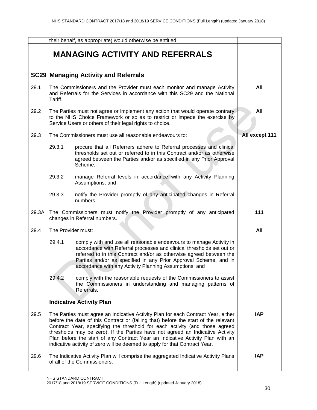|       |                    | their behalf, as appropriate) would otherwise be entitled.                                                                                                                                                                                                                                                                                                                                                                                                                                                 |                |
|-------|--------------------|------------------------------------------------------------------------------------------------------------------------------------------------------------------------------------------------------------------------------------------------------------------------------------------------------------------------------------------------------------------------------------------------------------------------------------------------------------------------------------------------------------|----------------|
|       |                    | <b>MANAGING ACTIVITY AND REFERRALS</b>                                                                                                                                                                                                                                                                                                                                                                                                                                                                     |                |
|       |                    | <b>SC29 Managing Activity and Referrals</b>                                                                                                                                                                                                                                                                                                                                                                                                                                                                |                |
| 29.1  | Tariff.            | The Commissioners and the Provider must each monitor and manage Activity<br>and Referrals for the Services in accordance with this SC29 and the National                                                                                                                                                                                                                                                                                                                                                   | All            |
| 29.2  |                    | The Parties must not agree or implement any action that would operate contrary<br>to the NHS Choice Framework or so as to restrict or impede the exercise by<br>Service Users or others of their legal rights to choice.                                                                                                                                                                                                                                                                                   | All            |
| 29.3  |                    | The Commissioners must use all reasonable endeavours to:                                                                                                                                                                                                                                                                                                                                                                                                                                                   | All except 111 |
|       | 29.3.1             | procure that all Referrers adhere to Referral processes and clinical<br>thresholds set out or referred to in this Contract and/or as otherwise<br>agreed between the Parties and/or as specified in any Prior Approval<br>Scheme;                                                                                                                                                                                                                                                                          |                |
|       | 29.3.2             | manage Referral levels in accordance with any Activity Planning<br>Assumptions; and                                                                                                                                                                                                                                                                                                                                                                                                                        |                |
|       | 29.3.3             | notify the Provider promptly of any anticipated changes in Referral<br>numbers.                                                                                                                                                                                                                                                                                                                                                                                                                            |                |
| 29.3A |                    | The Commissioners must notify the Provider promptly of any anticipated<br>changes in Referral numbers.                                                                                                                                                                                                                                                                                                                                                                                                     | 111            |
| 29.4  | The Provider must: |                                                                                                                                                                                                                                                                                                                                                                                                                                                                                                            | All            |
|       | 29.4.1             | comply with and use all reasonable endeavours to manage Activity in<br>accordance with Referral processes and clinical thresholds set out or<br>referred to in this Contract and/or as otherwise agreed between the<br>Parties and/or as specified in any Prior Approval Scheme, and in<br>accordance with any Activity Planning Assumptions; and                                                                                                                                                          |                |
|       | 29.4.2             | comply with the reasonable requests of the Commissioners to assist<br>the Commissioners in understanding and managing patterns of<br>Referrals.                                                                                                                                                                                                                                                                                                                                                            |                |
|       |                    | <b>Indicative Activity Plan</b>                                                                                                                                                                                                                                                                                                                                                                                                                                                                            |                |
| 29.5  |                    | The Parties must agree an Indicative Activity Plan for each Contract Year, either<br>before the date of this Contract or (failing that) before the start of the relevant<br>Contract Year, specifying the threshold for each activity (and those agreed<br>thresholds may be zero). If the Parties have not agreed an Indicative Activity<br>Plan before the start of any Contract Year an Indicative Activity Plan with an<br>indicative activity of zero will be deemed to apply for that Contract Year. | <b>IAP</b>     |
| 29.6  |                    | The Indicative Activity Plan will comprise the aggregated Indicative Activity Plans<br>of all of the Commissioners.                                                                                                                                                                                                                                                                                                                                                                                        | <b>IAP</b>     |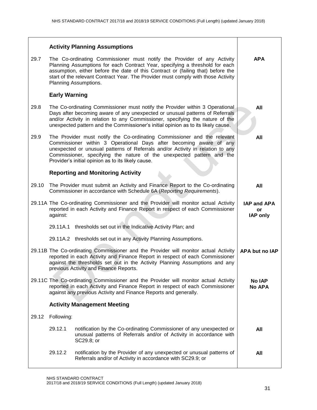|       | <b>Activity Planning Assumptions</b>                                                                                                                                                                                                                                                                                                                            |                                             |
|-------|-----------------------------------------------------------------------------------------------------------------------------------------------------------------------------------------------------------------------------------------------------------------------------------------------------------------------------------------------------------------|---------------------------------------------|
| 29.7  | The Co-ordinating Commissioner must notify the Provider of any Activity<br>Planning Assumptions for each Contract Year, specifying a threshold for each<br>assumption, either before the date of this Contract or (failing that) before the<br>start of the relevant Contract Year. The Provider must comply with those Activity<br>Planning Assumptions.       | <b>APA</b>                                  |
|       | <b>Early Warning</b>                                                                                                                                                                                                                                                                                                                                            |                                             |
| 29.8  | The Co-ordinating Commissioner must notify the Provider within 3 Operational<br>Days after becoming aware of any unexpected or unusual patterns of Referrals<br>and/or Activity in relation to any Commissioner, specifying the nature of the<br>unexpected pattern and the Commissioner's initial opinion as to its likely cause.                              | All                                         |
| 29.9  | The Provider must notify the Co-ordinating Commissioner and the relevant<br>Commissioner within 3 Operational Days after becoming aware of any<br>unexpected or unusual patterns of Referrals and/or Activity in relation to any<br>Commissioner, specifying the nature of the unexpected pattern and the<br>Provider's initial opinion as to its likely cause. | All                                         |
|       | <b>Reporting and Monitoring Activity</b>                                                                                                                                                                                                                                                                                                                        |                                             |
| 29.10 | The Provider must submit an Activity and Finance Report to the Co-ordinating<br>Commissioner in accordance with Schedule 6A (Reporting Requirements).                                                                                                                                                                                                           | All                                         |
|       | 29.11A The Co-ordinating Commissioner and the Provider will monitor actual Activity<br>reported in each Activity and Finance Report in respect of each Commissioner<br>against:                                                                                                                                                                                 | <b>IAP and APA</b><br>or<br><b>IAP only</b> |
|       | 29.11A.1 thresholds set out in the Indicative Activity Plan; and                                                                                                                                                                                                                                                                                                |                                             |
|       | 29.11A.2 thresholds set out in any Activity Planning Assumptions.                                                                                                                                                                                                                                                                                               |                                             |
|       | 29.11B The Co-ordinating Commissioner and the Provider will monitor actual Activity<br>reported in each Activity and Finance Report in respect of each Commissioner<br>against the thresholds set out in the Activity Planning Assumptions and any<br>previous Activity and Finance Reports.                                                                    | APA but no IAP                              |
|       | 29.11C The Co-ordinating Commissioner and the Provider will monitor actual Activity<br>reported in each Activity and Finance Report in respect of each Commissioner<br>against any previous Activity and Finance Reports and generally.                                                                                                                         | <b>No IAP</b><br><b>No APA</b>              |
|       | <b>Activity Management Meeting</b>                                                                                                                                                                                                                                                                                                                              |                                             |
| 29.12 | Following:                                                                                                                                                                                                                                                                                                                                                      |                                             |
|       | 29.12.1<br>notification by the Co-ordinating Commissioner of any unexpected or<br>unusual patterns of Referrals and/or of Activity in accordance with<br>SC29.8; or                                                                                                                                                                                             | All                                         |
|       | 29.12.2<br>notification by the Provider of any unexpected or unusual patterns of<br>Referrals and/or of Activity in accordance with SC29.9; or                                                                                                                                                                                                                  | All                                         |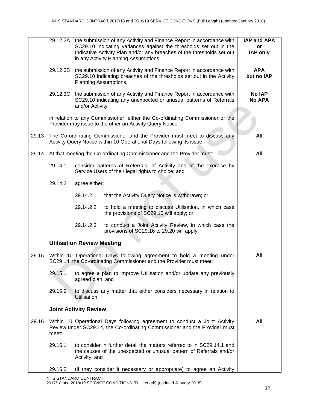|       |          |                                   | 29.12.3A the submission of any Activity and Finance Report in accordance with<br>SC29.10 indicating variances against the thresholds set out in the<br>Indicative Activity Plan and/or any breaches of the thresholds set out<br>in any Activity Planning Assumptions, | <b>IAP and APA</b><br>or<br><b>IAP only</b> |
|-------|----------|-----------------------------------|------------------------------------------------------------------------------------------------------------------------------------------------------------------------------------------------------------------------------------------------------------------------|---------------------------------------------|
|       | 29.12.3B | Planning Assumptions,             | the submission of any Activity and Finance Report in accordance with<br>SC29.10 indicating breaches of the thresholds set out in the Activity                                                                                                                          | <b>APA</b><br>but no IAP                    |
|       |          | and/or Activity,                  | 29.12.3C the submission of any Activity and Finance Report in accordance with<br>SC29.10 indicating any unexpected or unusual patterns of Referrals                                                                                                                    | <b>No IAP</b><br><b>No APA</b>              |
|       |          |                                   | in relation to any Commissioner, either the Co-ordinating Commissioner or the<br>Provider may issue to the other an Activity Query Notice.                                                                                                                             |                                             |
| 29.13 |          |                                   | The Co-ordinating Commissioner and the Provider must meet to discuss any<br>Activity Query Notice within 10 Operational Days following its issue.                                                                                                                      | All                                         |
| 29.14 |          |                                   | At that meeting the Co-ordinating Commissioner and the Provider must:                                                                                                                                                                                                  | All                                         |
|       | 29.14.1  |                                   | consider patterns of Referrals, of Activity and of the exercise by<br>Service Users of their legal rights to choice; and                                                                                                                                               |                                             |
|       | 29.14.2  | agree either:                     |                                                                                                                                                                                                                                                                        |                                             |
|       |          | 29.14.2.1                         | that the Activity Query Notice is withdrawn; or                                                                                                                                                                                                                        |                                             |
|       |          | 29.14.2.2                         | to hold a meeting to discuss Utilisation, in which case<br>the provisions of SC29.15 will apply; or                                                                                                                                                                    |                                             |
|       |          | 29.14.2.3                         | to conduct a Joint Activity Review, in which case the<br>provisions of SC29.16 to 29.20 will apply.                                                                                                                                                                    |                                             |
|       |          | <b>Utilisation Review Meeting</b> |                                                                                                                                                                                                                                                                        |                                             |
| 29.15 |          |                                   | Within 10 Operational Days following agreement to hold a meeting under<br>SC29.14, the Co-ordinating Commissioner and the Provider must meet:                                                                                                                          | All                                         |
|       | 29.15.1  | agreed plan; and                  | to agree a plan to improve Utilisation and/or update any previously                                                                                                                                                                                                    |                                             |
|       | 29.15.2  | Utilisation.                      | to discuss any matter that either considers necessary in relation to                                                                                                                                                                                                   |                                             |
|       |          | <b>Joint Activity Review</b>      |                                                                                                                                                                                                                                                                        |                                             |
| 29.16 | meet:    |                                   | Within 10 Operational Days following agreement to conduct a Joint Activity<br>Review under SC29.14, the Co-ordinating Commissioner and the Provider must                                                                                                               | All                                         |
|       | 29.16.1  | Activity; and                     | to consider in further detail the matters referred to in SC29.14.1 and<br>the causes of the unexpected or unusual pattern of Referrals and/or                                                                                                                          |                                             |
|       | 29.16.2  |                                   | (if they consider it necessary or appropriate) to agree an Activity                                                                                                                                                                                                    |                                             |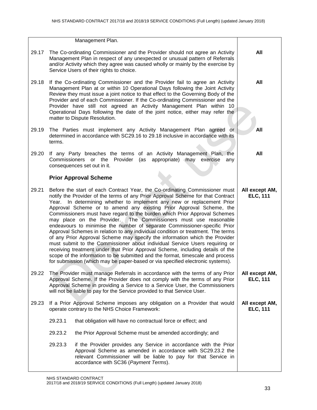|       | Management Plan.                                                                                                                                                                                                                                                                                                                                                                                                                                                                                                                                                                                                                                                                                                                                                                                                                                                                                                                                                                                                                                         |                                   |
|-------|----------------------------------------------------------------------------------------------------------------------------------------------------------------------------------------------------------------------------------------------------------------------------------------------------------------------------------------------------------------------------------------------------------------------------------------------------------------------------------------------------------------------------------------------------------------------------------------------------------------------------------------------------------------------------------------------------------------------------------------------------------------------------------------------------------------------------------------------------------------------------------------------------------------------------------------------------------------------------------------------------------------------------------------------------------|-----------------------------------|
| 29.17 | The Co-ordinating Commissioner and the Provider should not agree an Activity<br>Management Plan in respect of any unexpected or unusual pattern of Referrals<br>and/or Activity which they agree was caused wholly or mainly by the exercise by<br>Service Users of their rights to choice.                                                                                                                                                                                                                                                                                                                                                                                                                                                                                                                                                                                                                                                                                                                                                              | All                               |
| 29.18 | If the Co-ordinating Commissioner and the Provider fail to agree an Activity<br>Management Plan at or within 10 Operational Days following the Joint Activity<br>Review they must issue a joint notice to that effect to the Governing Body of the<br>Provider and of each Commissioner. If the Co-ordinating Commissioner and the<br>Provider have still not agreed an Activity Management Plan within 10<br>Operational Days following the date of the joint notice, either may refer the<br>matter to Dispute Resolution.                                                                                                                                                                                                                                                                                                                                                                                                                                                                                                                             | All                               |
| 29.19 | The Parties must implement any Activity Management Plan agreed or<br>determined in accordance with SC29.16 to 29.18 inclusive in accordance with its<br>terms.                                                                                                                                                                                                                                                                                                                                                                                                                                                                                                                                                                                                                                                                                                                                                                                                                                                                                           | All                               |
| 29.20 | If any Party breaches the terms of an Activity Management Plan, the<br>Commissioners or the Provider (as appropriate) may exercise<br>any<br>consequences set out in it.                                                                                                                                                                                                                                                                                                                                                                                                                                                                                                                                                                                                                                                                                                                                                                                                                                                                                 | All                               |
|       | <b>Prior Approval Scheme</b>                                                                                                                                                                                                                                                                                                                                                                                                                                                                                                                                                                                                                                                                                                                                                                                                                                                                                                                                                                                                                             |                                   |
| 29.21 | Before the start of each Contract Year, the Co-ordinating Commissioner must<br>notify the Provider of the terms of any Prior Approval Scheme for that Contract<br>Year. In determining whether to implement any new or replacement Prior<br>Approval Scheme or to amend any existing Prior Approval Scheme, the<br>Commissioners must have regard to the burden which Prior Approval Schemes<br>may place on the Provider.<br>The Commissioners must use reasonable<br>endeavours to minimise the number of separate Commissioner-specific Prior<br>Approval Schemes in relation to any individual condition or treatment. The terms<br>of any Prior Approval Scheme may specify the information which the Provider<br>must submit to the Commissioner about individual Service Users requiring or<br>receiving treatment under that Prior Approval Scheme, including details of the<br>scope of the information to be submitted and the format, timescale and process<br>for submission (which may be paper-based or via specified electronic systems). | All except AM,<br><b>ELC, 111</b> |
| 29.22 | The Provider must manage Referrals in accordance with the terms of any Prior<br>Approval Scheme. If the Provider does not comply with the terms of any Prior<br>Approval Scheme in providing a Service to a Service User, the Commissioners<br>will not be liable to pay for the Service provided to that Service User.                                                                                                                                                                                                                                                                                                                                                                                                                                                                                                                                                                                                                                                                                                                                  | All except AM,<br><b>ELC, 111</b> |
| 29.23 | If a Prior Approval Scheme imposes any obligation on a Provider that would<br>operate contrary to the NHS Choice Framework:                                                                                                                                                                                                                                                                                                                                                                                                                                                                                                                                                                                                                                                                                                                                                                                                                                                                                                                              | All except AM,<br><b>ELC, 111</b> |
|       | 29.23.1<br>that obligation will have no contractual force or effect; and                                                                                                                                                                                                                                                                                                                                                                                                                                                                                                                                                                                                                                                                                                                                                                                                                                                                                                                                                                                 |                                   |
|       | 29.23.2<br>the Prior Approval Scheme must be amended accordingly; and                                                                                                                                                                                                                                                                                                                                                                                                                                                                                                                                                                                                                                                                                                                                                                                                                                                                                                                                                                                    |                                   |
|       | 29.23.3<br>if the Provider provides any Service in accordance with the Prior<br>Approval Scheme as amended in accordance with SC29.23.2 the<br>relevant Commissioner will be liable to pay for that Service in<br>accordance with SC36 (Payment Terms).                                                                                                                                                                                                                                                                                                                                                                                                                                                                                                                                                                                                                                                                                                                                                                                                  |                                   |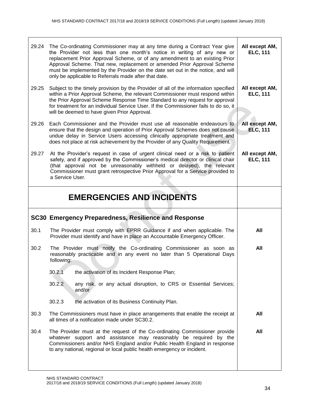| 29.24 | The Co-ordinating Commissioner may at any time during a Contract Year give<br>the Provider not less than one month's notice in writing of any new or<br>replacement Prior Approval Scheme, or of any amendment to an existing Prior<br>Approval Scheme. That new, replacement or amended Prior Approval Scheme<br>must be implemented by the Provider on the date set out in the notice, and will<br>only be applicable to Referrals made after that date. | All except AM,<br><b>ELC, 111</b> |
|-------|------------------------------------------------------------------------------------------------------------------------------------------------------------------------------------------------------------------------------------------------------------------------------------------------------------------------------------------------------------------------------------------------------------------------------------------------------------|-----------------------------------|
| 29.25 | Subject to the timely provision by the Provider of all of the information specified<br>within a Prior Approval Scheme, the relevant Commissioner must respond within<br>the Prior Approval Scheme Response Time Standard to any request for approval<br>for treatment for an individual Service User. If the Commissioner fails to do so, it<br>will be deemed to have given Prior Approval.                                                               | All except AM,<br><b>ELC, 111</b> |
| 29.26 | Each Commissioner and the Provider must use all reasonable endeavours to<br>ensure that the design and operation of Prior Approval Schemes does not cause<br>undue delay in Service Users accessing clinically appropriate treatment and<br>does not place at risk achievement by the Provider of any Quality Requirement.                                                                                                                                 | All except AM,<br><b>ELC, 111</b> |
| 29.27 | At the Provider's request in case of urgent clinical need or a risk to patient<br>safety, and if approved by the Commissioner's medical director or clinical chair<br>(that approval not be unreasonably withheld or delayed), the relevant<br>Commissioner must grant retrospective Prior Approval for a Service provided to<br>a Service User.                                                                                                           | All except AM,<br><b>ELC, 111</b> |
|       | <b>EMERGENCIES AND INCIDENTS</b>                                                                                                                                                                                                                                                                                                                                                                                                                           |                                   |
|       |                                                                                                                                                                                                                                                                                                                                                                                                                                                            |                                   |
|       | SC30 Emergency Preparedness, Resilience and Response                                                                                                                                                                                                                                                                                                                                                                                                       |                                   |
| 30.1  | The Provider must comply with EPRR Guidance if and when applicable. The<br>Provider must identify and have in place an Accountable Emergency Officer.                                                                                                                                                                                                                                                                                                      | All                               |
| 30.2  | The Provider must notify the Co-ordinating Commissioner as soon as<br>reasonably practicable and in any event no later than 5 Operational Days<br>following:                                                                                                                                                                                                                                                                                               | All                               |
|       | 30.2.1<br>the activation of its Incident Response Plan;                                                                                                                                                                                                                                                                                                                                                                                                    |                                   |
|       | 30.2.2<br>any risk, or any actual disruption, to CRS or Essential Services;<br>and/or                                                                                                                                                                                                                                                                                                                                                                      |                                   |
|       | 30.2.3<br>the activation of its Business Continuity Plan.                                                                                                                                                                                                                                                                                                                                                                                                  |                                   |
| 30.3  | The Commissioners must have in place arrangements that enable the receipt at<br>all times of a notification made under SC30.2.                                                                                                                                                                                                                                                                                                                             | All                               |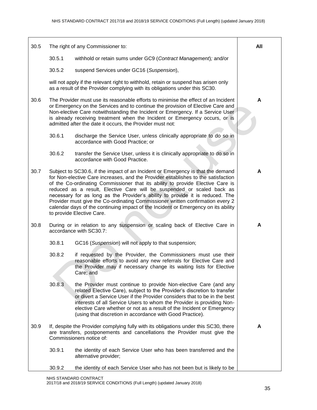| 30.5 |        | The right of any Commissioner to:                                                                                                                                                                                                                                                                                                                                                                                                                                                                                                                                                                                      | All |
|------|--------|------------------------------------------------------------------------------------------------------------------------------------------------------------------------------------------------------------------------------------------------------------------------------------------------------------------------------------------------------------------------------------------------------------------------------------------------------------------------------------------------------------------------------------------------------------------------------------------------------------------------|-----|
|      | 30.5.1 | withhold or retain sums under GC9 (Contract Management); and/or                                                                                                                                                                                                                                                                                                                                                                                                                                                                                                                                                        |     |
|      | 30.5.2 | suspend Services under GC16 (Suspension),                                                                                                                                                                                                                                                                                                                                                                                                                                                                                                                                                                              |     |
|      |        | will not apply if the relevant right to withhold, retain or suspend has arisen only<br>as a result of the Provider complying with its obligations under this SC30.                                                                                                                                                                                                                                                                                                                                                                                                                                                     |     |
| 30.6 |        | The Provider must use its reasonable efforts to minimise the effect of an Incident<br>or Emergency on the Services and to continue the provision of Elective Care and<br>Non-elective Care notwithstanding the Incident or Emergency. If a Service User<br>is already receiving treatment when the Incident or Emergency occurs, or is<br>admitted after the date it occurs, the Provider must not:                                                                                                                                                                                                                    | A   |
|      | 30.6.1 | discharge the Service User, unless clinically appropriate to do so in<br>accordance with Good Practice; or                                                                                                                                                                                                                                                                                                                                                                                                                                                                                                             |     |
|      | 30.6.2 | transfer the Service User, unless it is clinically appropriate to do so in<br>accordance with Good Practice.                                                                                                                                                                                                                                                                                                                                                                                                                                                                                                           |     |
| 30.7 |        | Subject to SC30.6, if the impact of an Incident or Emergency is that the demand<br>for Non-elective Care increases, and the Provider establishes to the satisfaction<br>of the Co-ordinating Commissioner that its ability to provide Elective Care is<br>reduced as a result, Elective Care will be suspended or scaled back as<br>necessary for as long as the Provider's ability to provide it is reduced. The<br>Provider must give the Co-ordinating Commissioner written confirmation every 2<br>calendar days of the continuing impact of the Incident or Emergency on its ability<br>to provide Elective Care. | A   |
| 30.8 |        | During or in relation to any suspension or scaling back of Elective Care in<br>accordance with SC30.7:                                                                                                                                                                                                                                                                                                                                                                                                                                                                                                                 | A   |
|      | 30.8.1 | GC16 (Suspension) will not apply to that suspension;                                                                                                                                                                                                                                                                                                                                                                                                                                                                                                                                                                   |     |
|      | 30.8.2 | if requested by the Provider, the Commissioners must use their<br>reasonable efforts to avoid any new referrals for Elective Care and<br>the Provider may if necessary change its waiting lists for Elective<br>Care; and                                                                                                                                                                                                                                                                                                                                                                                              |     |
|      | 30.8.3 | the Provider must continue to provide Non-elective Care (and any<br>related Elective Care), subject to the Provider's discretion to transfer<br>or divert a Service User if the Provider considers that to be in the best<br>interests of all Service Users to whom the Provider is providing Non-<br>elective Care whether or not as a result of the Incident or Emergency<br>(using that discretion in accordance with Good Practice).                                                                                                                                                                               |     |
| 30.9 |        | If, despite the Provider complying fully with its obligations under this SC30, there<br>are transfers, postponements and cancellations the Provider must give the<br>Commissioners notice of:                                                                                                                                                                                                                                                                                                                                                                                                                          | A   |
|      | 30.9.1 | the identity of each Service User who has been transferred and the<br>alternative provider;                                                                                                                                                                                                                                                                                                                                                                                                                                                                                                                            |     |
|      | 30.9.2 | the identity of each Service User who has not been but is likely to be                                                                                                                                                                                                                                                                                                                                                                                                                                                                                                                                                 |     |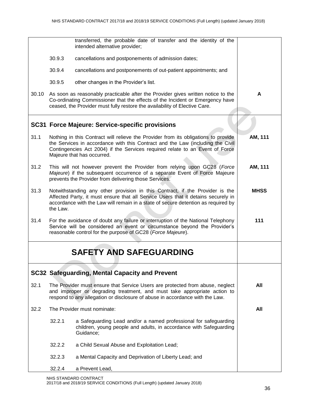|       |          | transferred, the probable date of transfer and the identity of the<br>intended alternative provider;                                                                                                                                                                               |             |
|-------|----------|------------------------------------------------------------------------------------------------------------------------------------------------------------------------------------------------------------------------------------------------------------------------------------|-------------|
|       | 30.9.3   | cancellations and postponements of admission dates;                                                                                                                                                                                                                                |             |
|       | 30.9.4   | cancellations and postponements of out-patient appointments; and                                                                                                                                                                                                                   |             |
|       | 30.9.5   | other changes in the Provider's list.                                                                                                                                                                                                                                              |             |
| 30.10 |          | As soon as reasonably practicable after the Provider gives written notice to the<br>Co-ordinating Commissioner that the effects of the Incident or Emergency have<br>ceased, the Provider must fully restore the availability of Elective Care.                                    | A           |
|       |          | <b>SC31 Force Majeure: Service-specific provisions</b>                                                                                                                                                                                                                             |             |
| 31.1  |          | Nothing in this Contract will relieve the Provider from its obligations to provide<br>the Services in accordance with this Contract and the Law (including the Civil<br>Contingencies Act 2004) if the Services required relate to an Event of Force<br>Majeure that has occurred. | AM, 111     |
| 31.2  |          | This will not however prevent the Provider from relying upon GC28 (Force<br>Majeure) if the subsequent occurrence of a separate Event of Force Majeure<br>prevents the Provider from delivering those Services.                                                                    | AM, 111     |
| 31.3  | the Law. | Notwithstanding any other provision in this Contract, if the Provider is the<br>Affected Party, it must ensure that all Service Users that it detains securely in<br>accordance with the Law will remain in a state of secure detention as required by                             | <b>MHSS</b> |
| 31.4  |          | For the avoidance of doubt any failure or interruption of the National Telephony<br>Service will be considered an event or circumstance beyond the Provider's<br>reasonable control for the purpose of GC28 (Force Majeure).                                                       | 111         |
|       |          | <b>SAFETY AND SAFEGUARDING</b>                                                                                                                                                                                                                                                     |             |
|       |          | <b>SC32 Safeguarding, Mental Capacity and Prevent</b>                                                                                                                                                                                                                              |             |
| 32.1  |          | The Provider must ensure that Service Users are protected from abuse, neglect<br>and improper or degrading treatment, and must take appropriate action to<br>respond to any allegation or disclosure of abuse in accordance with the Law.                                          | All         |
| 32.2  |          | The Provider must nominate:                                                                                                                                                                                                                                                        | All         |
|       | 32.2.1   | a Safeguarding Lead and/or a named professional for safeguarding<br>children, young people and adults, in accordance with Safeguarding<br>Guidance;                                                                                                                                |             |
|       | 32.2.2   | a Child Sexual Abuse and Exploitation Lead;                                                                                                                                                                                                                                        |             |
|       | 32.2.3   | a Mental Capacity and Deprivation of Liberty Lead; and                                                                                                                                                                                                                             |             |
|       | 32.2.4   | a Prevent Lead,                                                                                                                                                                                                                                                                    |             |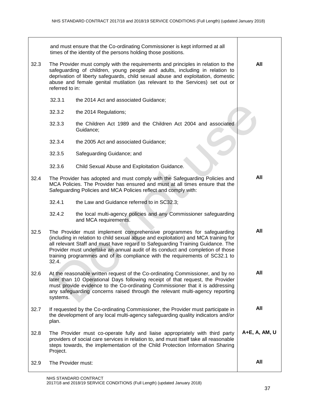|      |                                                                                                                                                                                                                                                                                                                                                        | and must ensure that the Co-ordinating Commissioner is kept informed at all<br>times of the identity of the persons holding those positions.                                                                                                                                                                                                                                                                     |               |
|------|--------------------------------------------------------------------------------------------------------------------------------------------------------------------------------------------------------------------------------------------------------------------------------------------------------------------------------------------------------|------------------------------------------------------------------------------------------------------------------------------------------------------------------------------------------------------------------------------------------------------------------------------------------------------------------------------------------------------------------------------------------------------------------|---------------|
| 32.3 | The Provider must comply with the requirements and principles in relation to the<br>safeguarding of children, young people and adults, including in relation to<br>deprivation of liberty safeguards, child sexual abuse and exploitation, domestic<br>abuse and female genital mutilation (as relevant to the Services) set out or<br>referred to in: |                                                                                                                                                                                                                                                                                                                                                                                                                  | All           |
|      | 32.3.1                                                                                                                                                                                                                                                                                                                                                 | the 2014 Act and associated Guidance;                                                                                                                                                                                                                                                                                                                                                                            |               |
|      | 32.3.2                                                                                                                                                                                                                                                                                                                                                 | the 2014 Regulations;                                                                                                                                                                                                                                                                                                                                                                                            |               |
|      | 32.3.3                                                                                                                                                                                                                                                                                                                                                 | the Children Act 1989 and the Children Act 2004 and associated<br>Guidance;                                                                                                                                                                                                                                                                                                                                      |               |
|      | 32.3.4                                                                                                                                                                                                                                                                                                                                                 | the 2005 Act and associated Guidance;                                                                                                                                                                                                                                                                                                                                                                            |               |
|      | 32.3.5                                                                                                                                                                                                                                                                                                                                                 | Safeguarding Guidance; and                                                                                                                                                                                                                                                                                                                                                                                       |               |
|      | 32.3.6                                                                                                                                                                                                                                                                                                                                                 | Child Sexual Abuse and Exploitation Guidance.                                                                                                                                                                                                                                                                                                                                                                    |               |
| 32.4 |                                                                                                                                                                                                                                                                                                                                                        | The Provider has adopted and must comply with the Safeguarding Policies and<br>MCA Policies. The Provider has ensured and must at all times ensure that the<br>Safeguarding Policies and MCA Policies reflect and comply with:                                                                                                                                                                                   | All           |
|      | 32.4.1                                                                                                                                                                                                                                                                                                                                                 | the Law and Guidance referred to in SC32.3;                                                                                                                                                                                                                                                                                                                                                                      |               |
|      | 32.4.2                                                                                                                                                                                                                                                                                                                                                 | the local multi-agency policies and any Commissioner safeguarding<br>and MCA requirements.                                                                                                                                                                                                                                                                                                                       |               |
| 32.5 | 32.4.                                                                                                                                                                                                                                                                                                                                                  | The Provider must implement comprehensive programmes for safeguarding<br>(including in relation to child sexual abuse and exploitation) and MCA training for<br>all relevant Staff and must have regard to Safeguarding Training Guidance. The<br>Provider must undertake an annual audit of its conduct and completion of those<br>training programmes and of its compliance with the requirements of SC32.1 to | All           |
| 32.6 | systems.                                                                                                                                                                                                                                                                                                                                               | At the reasonable written request of the Co-ordinating Commissioner, and by no<br>later than 10 Operational Days following receipt of that request, the Provider<br>must provide evidence to the Co-ordinating Commissioner that it is addressing<br>any safeguarding concerns raised through the relevant multi-agency reporting                                                                                | All           |
| 32.7 | plan.                                                                                                                                                                                                                                                                                                                                                  | If requested by the Co-ordinating Commissioner, the Provider must participate in<br>the development of any local multi-agency safeguarding quality indicators and/or                                                                                                                                                                                                                                             | All           |
| 32.8 | Project.                                                                                                                                                                                                                                                                                                                                               | The Provider must co-operate fully and liaise appropriately with third party<br>providers of social care services in relation to, and must itself take all reasonable<br>steps towards, the implementation of the Child Protection Information Sharing                                                                                                                                                           | A+E, A, AM, U |
| 32.9 | The Provider must:                                                                                                                                                                                                                                                                                                                                     |                                                                                                                                                                                                                                                                                                                                                                                                                  | All           |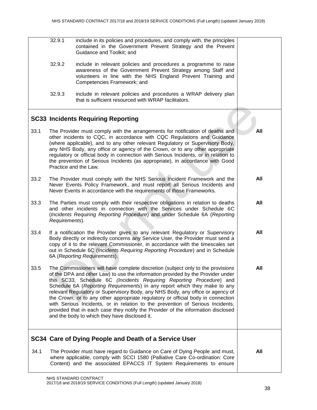|      | 32.9.1         | include in its policies and procedures, and comply with, the principles<br>contained in the Government Prevent Strategy and the Prevent<br>Guidance and Toolkit; and                                                                                                                                                                                                                                                                                                                                                                                                                                                                                                                                                 |     |
|------|----------------|----------------------------------------------------------------------------------------------------------------------------------------------------------------------------------------------------------------------------------------------------------------------------------------------------------------------------------------------------------------------------------------------------------------------------------------------------------------------------------------------------------------------------------------------------------------------------------------------------------------------------------------------------------------------------------------------------------------------|-----|
|      | 32.9.2         | include in relevant policies and procedures a programme to raise<br>awareness of the Government Prevent Strategy among Staff and<br>volunteers in line with the NHS England Prevent Training and<br>Competencies Framework; and                                                                                                                                                                                                                                                                                                                                                                                                                                                                                      |     |
|      | 32.9.3         | include in relevant policies and procedures a WRAP delivery plan<br>that is sufficient resourced with WRAP facilitators.                                                                                                                                                                                                                                                                                                                                                                                                                                                                                                                                                                                             |     |
|      |                | <b>SC33 Incidents Requiring Reporting</b>                                                                                                                                                                                                                                                                                                                                                                                                                                                                                                                                                                                                                                                                            |     |
| 33.1 |                | The Provider must comply with the arrangements for notification of deaths and<br>other incidents to CQC, in accordance with CQC Regulations and Guidance<br>(where applicable), and to any other relevant Regulatory or Supervisory Body,<br>any NHS Body, any office or agency of the Crown, or to any other appropriate<br>regulatory or official body in connection with Serious Incidents, or in relation to<br>the prevention of Serious Incidents (as appropriate), in accordance with Good<br>Practice and the Law.                                                                                                                                                                                           | All |
| 33.2 |                | The Provider must comply with the NHS Serious Incident Framework and the<br>Never Events Policy Framework, and must report all Serious Incidents and<br>Never Events in accordance with the requirements of those Frameworks.                                                                                                                                                                                                                                                                                                                                                                                                                                                                                        | All |
| 33.3 | Requirements). | The Parties must comply with their respective obligations in relation to deaths<br>and other incidents in connection with the Services under Schedule 6C<br>(Incidents Requiring Reporting Procedure) and under Schedule 6A (Reporting                                                                                                                                                                                                                                                                                                                                                                                                                                                                               | All |
| 33.4 |                | If a notification the Provider gives to any relevant Regulatory or Supervisory<br>Body directly or indirectly concerns any Service User, the Provider must send a<br>copy of it to the relevant Commissioner, in accordance with the timescales set<br>out in Schedule 6C (Incidents Requiring Reporting Procedure) and in Schedule<br>6A (Reporting Requirements).                                                                                                                                                                                                                                                                                                                                                  | All |
| 33.5 |                | The Commissioners will have complete discretion (subject only to the provisions<br>of the DPA and other Law) to use the information provided by the Provider under<br>this SC33, Schedule 6C (Incidents Requiring Reporting Procedure) and<br>Schedule 6A (Reporting Requirements) in any report which they make to any<br>relevant Regulatory or Supervisory Body, any NHS Body, any office or agency of<br>the Crown, or to any other appropriate regulatory or official body in connection<br>with Serious Incidents, or in relation to the prevention of Serious Incidents,<br>provided that in each case they notify the Provider of the information disclosed<br>and the body to which they have disclosed it. | All |
|      |                | SC34 Care of Dying People and Death of a Service User                                                                                                                                                                                                                                                                                                                                                                                                                                                                                                                                                                                                                                                                |     |
| 34.1 |                | The Provider must have regard to Guidance on Care of Dying People and must,<br>where applicable, comply with SCCI 1580 (Palliative Care Co-ordination: Core<br>Content) and the associated EPACCS IT System Requirements to ensure                                                                                                                                                                                                                                                                                                                                                                                                                                                                                   | All |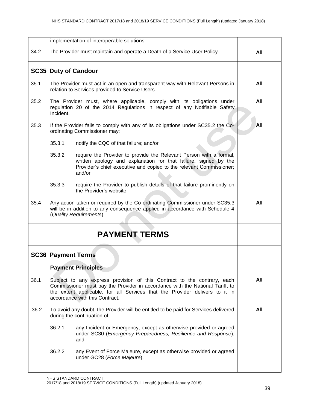|      |                                                                                                                                  | implementation of interoperable solutions.                                                                                                                                                                                                                                |     |
|------|----------------------------------------------------------------------------------------------------------------------------------|---------------------------------------------------------------------------------------------------------------------------------------------------------------------------------------------------------------------------------------------------------------------------|-----|
|      |                                                                                                                                  |                                                                                                                                                                                                                                                                           |     |
| 34.2 |                                                                                                                                  | The Provider must maintain and operate a Death of a Service User Policy.                                                                                                                                                                                                  | All |
|      |                                                                                                                                  | <b>SC35 Duty of Candour</b>                                                                                                                                                                                                                                               |     |
| 35.1 | The Provider must act in an open and transparent way with Relevant Persons in<br>relation to Services provided to Service Users. | All                                                                                                                                                                                                                                                                       |     |
| 35.2 | Incident.                                                                                                                        | The Provider must, where applicable, comply with its obligations under<br>regulation 20 of the 2014 Regulations in respect of any Notifiable Safety                                                                                                                       | All |
| 35.3 |                                                                                                                                  | If the Provider fails to comply with any of its obligations under SC35.2 the Co-<br>ordinating Commissioner may:                                                                                                                                                          | All |
|      | 35.3.1                                                                                                                           | notify the CQC of that failure; and/or                                                                                                                                                                                                                                    |     |
|      | 35.3.2                                                                                                                           | require the Provider to provide the Relevant Person with a formal,<br>written apology and explanation for that failure, signed by the<br>Provider's chief executive and copied to the relevant Commissioner;<br>and/or                                                    |     |
|      | 35.3.3                                                                                                                           | require the Provider to publish details of that failure prominently on<br>the Provider's website.                                                                                                                                                                         |     |
| 35.4 |                                                                                                                                  | Any action taken or required by the Co-ordinating Commissioner under SC35.3<br>will be in addition to any consequence applied in accordance with Schedule 4<br>(Quality Requirements).                                                                                    | All |
|      |                                                                                                                                  | <b>PAYMENT TERMS</b>                                                                                                                                                                                                                                                      |     |
|      | <b>SC36 Payment Terms</b>                                                                                                        |                                                                                                                                                                                                                                                                           |     |
|      |                                                                                                                                  | <b>Payment Principles</b>                                                                                                                                                                                                                                                 |     |
| 36.1 |                                                                                                                                  | Subject to any express provision of this Contract to the contrary, each<br>Commissioner must pay the Provider in accordance with the National Tariff, to<br>the extent applicable, for all Services that the Provider delivers to it in<br>accordance with this Contract. | All |
| 36.2 | To avoid any doubt, the Provider will be entitled to be paid for Services delivered<br>during the continuation of:               | All                                                                                                                                                                                                                                                                       |     |
|      | 36.2.1                                                                                                                           | any Incident or Emergency, except as otherwise provided or agreed<br>under SC30 (Emergency Preparedness, Resilience and Response);<br>and                                                                                                                                 |     |
|      | 36.2.2                                                                                                                           | any Event of Force Majeure, except as otherwise provided or agreed<br>under GC28 (Force Majeure).                                                                                                                                                                         |     |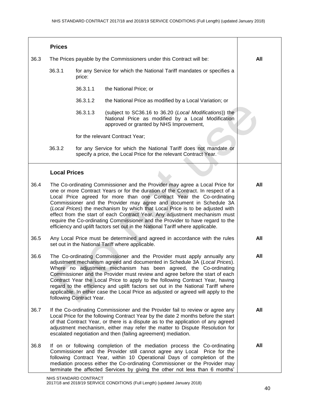|      | <b>Prices</b>       |                          |                                                                                                                                                                                                                                                                                                                                                                                                                                                                                                                                                                                                                                                 |            |
|------|---------------------|--------------------------|-------------------------------------------------------------------------------------------------------------------------------------------------------------------------------------------------------------------------------------------------------------------------------------------------------------------------------------------------------------------------------------------------------------------------------------------------------------------------------------------------------------------------------------------------------------------------------------------------------------------------------------------------|------------|
| 36.3 |                     |                          | The Prices payable by the Commissioners under this Contract will be:                                                                                                                                                                                                                                                                                                                                                                                                                                                                                                                                                                            | All        |
|      | 36.3.1              | price:                   | for any Service for which the National Tariff mandates or specifies a                                                                                                                                                                                                                                                                                                                                                                                                                                                                                                                                                                           |            |
|      |                     | 36.3.1.1                 | the National Price; or                                                                                                                                                                                                                                                                                                                                                                                                                                                                                                                                                                                                                          |            |
|      |                     | 36.3.1.2                 | the National Price as modified by a Local Variation; or                                                                                                                                                                                                                                                                                                                                                                                                                                                                                                                                                                                         |            |
|      |                     | 36.3.1.3                 | (subject to SC36.16 to 36.20 (Local Modifications)) the<br>National Price as modified by a Local Modification<br>approved or granted by NHS Improvement,                                                                                                                                                                                                                                                                                                                                                                                                                                                                                        |            |
|      |                     |                          | for the relevant Contract Year;                                                                                                                                                                                                                                                                                                                                                                                                                                                                                                                                                                                                                 |            |
|      | 36.3.2              |                          | for any Service for which the National Tariff does not mandate or<br>specify a price, the Local Price for the relevant Contract Year.                                                                                                                                                                                                                                                                                                                                                                                                                                                                                                           |            |
|      | <b>Local Prices</b> |                          |                                                                                                                                                                                                                                                                                                                                                                                                                                                                                                                                                                                                                                                 |            |
| 36.4 |                     |                          | The Co-ordinating Commissioner and the Provider may agree a Local Price for<br>one or more Contract Years or for the duration of the Contract. In respect of a<br>Local Price agreed for more than one Contract Year the Co-ordinating<br>Commissioner and the Provider may agree and document in Schedule 3A<br>(Local Prices) the mechanism by which that Local Price is to be adjusted with<br>effect from the start of each Contract Year. Any adjustment mechanism must<br>require the Co-ordinating Commissioner and the Provider to have regard to the<br>efficiency and uplift factors set out in the National Tariff where applicable. | All        |
| 36.5 |                     |                          | Any Local Price must be determined and agreed in accordance with the rules<br>set out in the National Tariff where applicable.                                                                                                                                                                                                                                                                                                                                                                                                                                                                                                                  | All        |
| 36.6 |                     | following Contract Year. | The Co-ordinating Commissioner and the Provider must apply annually any<br>adjustment mechanism agreed and documented in Schedule 3A (Local Prices).<br>Where no adjustment mechanism has been agreed, the Co-ordinating<br>Commissioner and the Provider must review and agree before the start of each<br>Contract Year the Local Price to apply to the following Contract Year, having<br>regard to the efficiency and uplift factors set out in the National Tariff where<br>applicable. In either case the Local Price as adjusted or agreed will apply to the                                                                             | <b>All</b> |
| 36.7 |                     |                          | If the Co-ordinating Commissioner and the Provider fail to review or agree any<br>Local Price for the following Contract Year by the date 2 months before the start<br>of that Contract Year, or there is a dispute as to the application of any agreed<br>adjustment mechanism, either may refer the matter to Dispute Resolution for<br>escalated negotiation and then (failing agreement) mediation.                                                                                                                                                                                                                                         | All        |
| 36.8 |                     |                          | If on or following completion of the mediation process the Co-ordinating<br>Commissioner and the Provider still cannot agree any Local Price for the<br>following Contract Year, within 10 Operational Days of completion of the<br>mediation process either the Co-ordinating Commissioner or the Provider may<br>terminate the affected Services by giving the other not less than 6 months'                                                                                                                                                                                                                                                  | All        |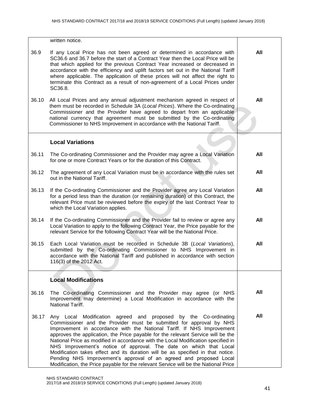|       | written notice.                                                                                                                                                                                                                                                                                                                                                                                                                                                                                                                                                                                                                                                                                                 |     |
|-------|-----------------------------------------------------------------------------------------------------------------------------------------------------------------------------------------------------------------------------------------------------------------------------------------------------------------------------------------------------------------------------------------------------------------------------------------------------------------------------------------------------------------------------------------------------------------------------------------------------------------------------------------------------------------------------------------------------------------|-----|
| 36.9  | If any Local Price has not been agreed or determined in accordance with<br>SC36.6 and 36.7 before the start of a Contract Year then the Local Price will be<br>that which applied for the previous Contract Year increased or decreased in<br>accordance with the efficiency and uplift factors set out in the National Tariff<br>where applicable. The application of these prices will not affect the right to<br>terminate this Contract as a result of non-agreement of a Local Prices under<br>SC36.8.                                                                                                                                                                                                     | All |
| 36.10 | All Local Prices and any annual adjustment mechanism agreed in respect of<br>them must be recorded in Schedule 3A (Local Prices). Where the Co-ordinating<br>Commissioner and the Provider have agreed to depart from an applicable<br>national currency that agreement must be submitted by the Co-ordinating<br>Commissioner to NHS Improvement in accordance with the National Tariff.                                                                                                                                                                                                                                                                                                                       | All |
|       | <b>Local Variations</b>                                                                                                                                                                                                                                                                                                                                                                                                                                                                                                                                                                                                                                                                                         |     |
| 36.11 | The Co-ordinating Commissioner and the Provider may agree a Local Variation<br>for one or more Contract Years or for the duration of this Contract.                                                                                                                                                                                                                                                                                                                                                                                                                                                                                                                                                             | All |
| 36.12 | The agreement of any Local Variation must be in accordance with the rules set<br>out in the National Tariff.                                                                                                                                                                                                                                                                                                                                                                                                                                                                                                                                                                                                    | All |
| 36.13 | If the Co-ordinating Commissioner and the Provider agree any Local Variation<br>for a period less than the duration (or remaining duration) of this Contract, the<br>relevant Price must be reviewed before the expiry of the last Contract Year to<br>which the Local Variation applies.                                                                                                                                                                                                                                                                                                                                                                                                                       | All |
| 36.14 | If the Co-ordinating Commissioner and the Provider fail to review or agree any<br>Local Variation to apply to the following Contract Year, the Price payable for the<br>relevant Service for the following Contract Year will be the National Price.                                                                                                                                                                                                                                                                                                                                                                                                                                                            | All |
| 36.15 | Each Local Variation must be recorded in Schedule 3B (Local Variations),<br>submitted by the Co-ordinating Commissioner to NHS Improvement in<br>accordance with the National Tariff and published in accordance with section<br>116(3) of the 2012 Act.                                                                                                                                                                                                                                                                                                                                                                                                                                                        | All |
|       | <b>Local Modifications</b>                                                                                                                                                                                                                                                                                                                                                                                                                                                                                                                                                                                                                                                                                      |     |
| 36.16 | The Co-ordinating Commissioner and the Provider may agree (or NHS<br>Improvement may determine) a Local Modification in accordance with the<br>National Tariff.                                                                                                                                                                                                                                                                                                                                                                                                                                                                                                                                                 | All |
| 36.17 | Any Local Modification agreed and proposed by the Co-ordinating<br>Commissioner and the Provider must be submitted for approval by NHS<br>Improvement in accordance with the National Tariff. If NHS Improvement<br>approves the application, the Price payable for the relevant Service will be the<br>National Price as modified in accordance with the Local Modification specified in<br>NHS Improvement's notice of approval. The date on which that Local<br>Modification takes effect and its duration will be as specified in that notice.<br>Pending NHS Improvement's approval of an agreed and proposed Local<br>Modification, the Price payable for the relevant Service will be the National Price | All |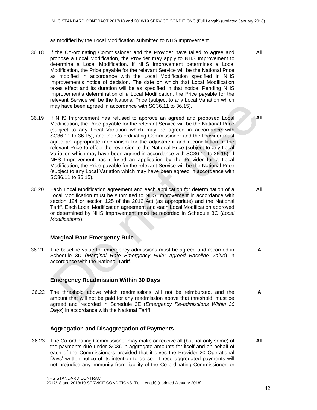|       | as modified by the Local Modification submitted to NHS Improvement.                                                                                                                                                                                                                                                                                                                                                                                                                                                                                                                                                                                                                                                                                                                                                                                  |     |
|-------|------------------------------------------------------------------------------------------------------------------------------------------------------------------------------------------------------------------------------------------------------------------------------------------------------------------------------------------------------------------------------------------------------------------------------------------------------------------------------------------------------------------------------------------------------------------------------------------------------------------------------------------------------------------------------------------------------------------------------------------------------------------------------------------------------------------------------------------------------|-----|
| 36.18 | If the Co-ordinating Commissioner and the Provider have failed to agree and<br>propose a Local Modification, the Provider may apply to NHS Improvement to<br>determine a Local Modification. If NHS Improvement determines a Local<br>Modification, the Price payable for the relevant Service will be the National Price<br>as modified in accordance with the Local Modification specified in NHS<br>Improvement's notice of decision. The date on which that Local Modification<br>takes effect and its duration will be as specified in that notice. Pending NHS<br>Improvement's determination of a Local Modification, the Price payable for the<br>relevant Service will be the National Price (subject to any Local Variation which<br>may have been agreed in accordance with SC36.11 to 36.15).                                            | All |
| 36.19 | If NHS Improvement has refused to approve an agreed and proposed Local<br>Modification, the Price payable for the relevant Service will be the National Price<br>(subject to any Local Variation which may be agreed in accordance with<br>SC36.11 to 36.15), and the Co-ordinating Commissioner and the Provider must<br>agree an appropriate mechanism for the adjustment and reconciliation of the<br>relevant Price to effect the reversion to the National Price (subject to any Local<br>Variation which may have been agreed in accordance with SC36.11 to 36.15). If<br>NHS Improvement has refused an application by the Provider for a Local<br>Modification, the Price payable for the relevant Service will be the National Price<br>(subject to any Local Variation which may have been agreed in accordance with<br>SC36.11 to 36.15). | All |
| 36.20 | Each Local Modification agreement and each application for determination of a<br>Local Modification must be submitted to NHS Improvement in accordance with<br>section 124 or section 125 of the 2012 Act (as appropriate) and the National<br>Tariff. Each Local Modification agreement and each Local Modification approved<br>or determined by NHS Improvement must be recorded in Schedule 3C (Local<br>Modifications).                                                                                                                                                                                                                                                                                                                                                                                                                          | All |
|       | <b>Marginal Rate Emergency Rule</b>                                                                                                                                                                                                                                                                                                                                                                                                                                                                                                                                                                                                                                                                                                                                                                                                                  |     |
| 36.21 | The baseline value for emergency admissions must be agreed and recorded in<br>Schedule 3D (Marginal Rate Emergency Rule: Agreed Baseline Value) in<br>accordance with the National Tariff.                                                                                                                                                                                                                                                                                                                                                                                                                                                                                                                                                                                                                                                           | A   |
|       | <b>Emergency Readmission Within 30 Days</b>                                                                                                                                                                                                                                                                                                                                                                                                                                                                                                                                                                                                                                                                                                                                                                                                          |     |
| 36.22 | The threshold above which readmissions will not be reimbursed, and the<br>amount that will not be paid for any readmission above that threshold, must be<br>agreed and recorded in Schedule 3E (Emergency Re-admissions Within 30<br>Days) in accordance with the National Tariff.                                                                                                                                                                                                                                                                                                                                                                                                                                                                                                                                                                   | A   |
|       | <b>Aggregation and Disaggregation of Payments</b>                                                                                                                                                                                                                                                                                                                                                                                                                                                                                                                                                                                                                                                                                                                                                                                                    |     |
| 36.23 | The Co-ordinating Commissioner may make or receive all (but not only some) of<br>the payments due under SC36 in aggregate amounts for itself and on behalf of<br>each of the Commissioners provided that it gives the Provider 20 Operational<br>Days' written notice of its intention to do so. These aggregated payments will<br>not prejudice any immunity from liability of the Co-ordinating Commissioner, or                                                                                                                                                                                                                                                                                                                                                                                                                                   | All |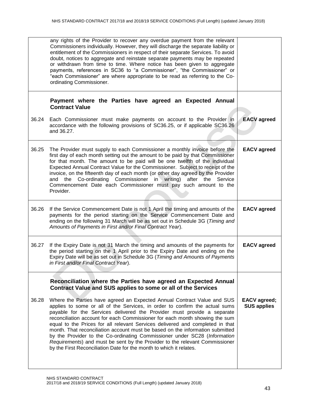|       | any rights of the Provider to recover any overdue payment from the relevant<br>Commissioners individually. However, they will discharge the separate liability or<br>entitlement of the Commissioners in respect of their separate Services. To avoid<br>doubt, notices to aggregate and reinstate separate payments may be repeated<br>or withdrawn from time to time. Where notice has been given to aggregate<br>payments, references in SC36 to "a Commissioner", "the Commissioner" or<br>"each Commissioner" are where appropriate to be read as referring to the Co-<br>ordinating Commissioner.                                                                                                               |                                           |
|-------|-----------------------------------------------------------------------------------------------------------------------------------------------------------------------------------------------------------------------------------------------------------------------------------------------------------------------------------------------------------------------------------------------------------------------------------------------------------------------------------------------------------------------------------------------------------------------------------------------------------------------------------------------------------------------------------------------------------------------|-------------------------------------------|
|       | Payment where the Parties have agreed an Expected Annual<br><b>Contract Value</b>                                                                                                                                                                                                                                                                                                                                                                                                                                                                                                                                                                                                                                     |                                           |
| 36.24 | Each Commissioner must make payments on account to the Provider in<br>accordance with the following provisions of SC36.25, or if applicable SC36.26<br>and 36.27.                                                                                                                                                                                                                                                                                                                                                                                                                                                                                                                                                     | <b>EACV</b> agreed                        |
| 36.25 | The Provider must supply to each Commissioner a monthly invoice before the<br>first day of each month setting out the amount to be paid by that Commissioner<br>for that month. The amount to be paid will be one twelfth of the individual<br>Expected Annual Contract Value for the Commissioner. Subject to receipt of the<br>invoice, on the fifteenth day of each month (or other day agreed by the Provider<br>Co-ordinating Commissioner in writing) after the Service<br>and the<br>Commencement Date each Commissioner must pay such amount to the<br>Provider.                                                                                                                                              | <b>EACV</b> agreed                        |
| 36.26 | If the Service Commencement Date is not 1 April the timing and amounts of the<br>payments for the period starting on the Service Commencement Date and<br>ending on the following 31 March will be as set out in Schedule 3G (Timing and<br>Amounts of Payments in First and/or Final Contract Year).                                                                                                                                                                                                                                                                                                                                                                                                                 | <b>EACV</b> agreed                        |
| 36.27 | If the Expiry Date is not 31 March the timing and amounts of the payments for<br>the period starting on the 1 April prior to the Expiry Date and ending on the<br>Expiry Date will be as set out in Schedule 3G (Timing and Amounts of Payments<br>in First and/or Final Contract Year).                                                                                                                                                                                                                                                                                                                                                                                                                              | <b>EACV</b> agreed                        |
|       | Reconciliation where the Parties have agreed an Expected Annual<br>Contract Value and SUS applies to some or all of the Services                                                                                                                                                                                                                                                                                                                                                                                                                                                                                                                                                                                      |                                           |
| 36.28 | Where the Parties have agreed an Expected Annual Contract Value and SUS<br>applies to some or all of the Services, in order to confirm the actual sums<br>payable for the Services delivered the Provider must provide a separate<br>reconciliation account for each Commissioner for each month showing the sum<br>equal to the Prices for all relevant Services delivered and completed in that<br>month. That reconciliation account must be based on the information submitted<br>by the Provider to the Co-ordinating Commissioner under SC28 (Information<br>Requirements) and must be sent by the Provider to the relevant Commissioner<br>by the First Reconciliation Date for the month to which it relates. | <b>EACV</b> agreed;<br><b>SUS applies</b> |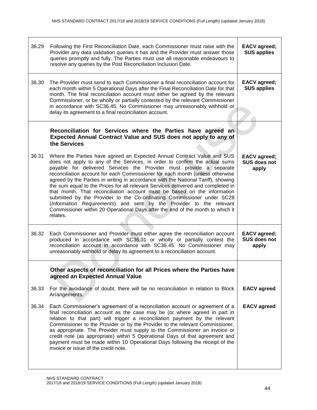| 36.29 | Following the First Reconciliation Date, each Commissioner must raise with the<br>Provider any data validation queries it has and the Provider must answer those<br>queries promptly and fully. The Parties must use all reasonable endeavours to<br>resolve any queries by the Post Reconciliation Inclusion Date.                                                                                                                                                                                                                                                                                                                                                                                                                                                                                               | <b>EACV</b> agreed;<br><b>SUS applies</b>    |
|-------|-------------------------------------------------------------------------------------------------------------------------------------------------------------------------------------------------------------------------------------------------------------------------------------------------------------------------------------------------------------------------------------------------------------------------------------------------------------------------------------------------------------------------------------------------------------------------------------------------------------------------------------------------------------------------------------------------------------------------------------------------------------------------------------------------------------------|----------------------------------------------|
| 36.30 | The Provider must send to each Commissioner a final reconciliation account for<br>each month within 5 Operational Days after the Final Reconciliation Date for that<br>month. The final reconciliation account must either be agreed by the relevant<br>Commissioner, or be wholly or partially contested by the relevant Commissioner<br>in accordance with SC36.45. No Commissioner may unreasonably withhold or<br>delay its agreement to a final reconciliation account.                                                                                                                                                                                                                                                                                                                                      | <b>EACV</b> agreed;<br><b>SUS applies</b>    |
|       | Reconciliation for Services where the Parties have agreed an<br>Expected Annual Contract Value and SUS does not apply to any of<br>the Services                                                                                                                                                                                                                                                                                                                                                                                                                                                                                                                                                                                                                                                                   |                                              |
| 36.31 | Where the Parties have agreed an Expected Annual Contract Value and SUS<br>does not apply to any of the Services, in order to confirm the actual sums<br>payable for delivered Services the Provider must provide a separate<br>reconciliation account for each Commissioner for each month (unless otherwise<br>agreed by the Parties in writing in accordance with the National Tariff), showing<br>the sum equal to the Prices for all relevant Services delivered and completed in<br>that month. That reconciliation account must be based on the information<br>submitted by the Provider to the Co-ordinating Commissioner under SC28<br>(Information Requirements) and sent by the Provider to the relevant<br>Commissioner within 20 Operational Days after the end of the month to which it<br>relates. | <b>EACV</b> agreed;<br>SUS does not<br>apply |
| 36.32 | Each Commissioner and Provider must either agree the reconciliation account<br>produced in accordance with SC36.31 or wholly or partially contest the<br>reconciliation account in accordance with SC36.45. No Commissioner may<br>unreasonably withhold or delay its agreement to a reconciliation account.                                                                                                                                                                                                                                                                                                                                                                                                                                                                                                      | <b>EACV</b> agreed;<br>SUS does not<br>apply |
|       | Other aspects of reconciliation for all Prices where the Parties have<br>agreed an Expected Annual Value                                                                                                                                                                                                                                                                                                                                                                                                                                                                                                                                                                                                                                                                                                          |                                              |
| 36.33 | For the avoidance of doubt, there will be no reconciliation in relation to Block<br>Arrangements.                                                                                                                                                                                                                                                                                                                                                                                                                                                                                                                                                                                                                                                                                                                 | <b>EACV</b> agreed                           |
| 36.34 | Each Commissioner's agreement of a reconciliation account or agreement of a<br>final reconciliation account as the case may be (or where agreed in part in<br>relation to that part) will trigger a reconciliation payment by the relevant<br>Commissioner to the Provider or by the Provider to the relevant Commissioner,<br>as appropriate. The Provider must supply to the Commissioner an invoice or<br>credit note (as appropriate) within 5 Operational Days of that agreement and<br>payment must be made within 10 Operational Days following the receipt of the<br>invoice or issue of the credit note.                                                                                                                                                                                                 | <b>EACV</b> agreed                           |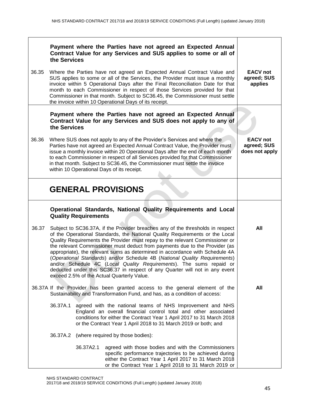|       | the Services |                             | Payment where the Parties have not agreed an Expected Annual<br>Contract Value for any Services and SUS applies to some or all of                                                                                                                                                                                                                                                                                                                                                                                                                                                                                                                                                               |                                                  |
|-------|--------------|-----------------------------|-------------------------------------------------------------------------------------------------------------------------------------------------------------------------------------------------------------------------------------------------------------------------------------------------------------------------------------------------------------------------------------------------------------------------------------------------------------------------------------------------------------------------------------------------------------------------------------------------------------------------------------------------------------------------------------------------|--------------------------------------------------|
| 36.35 |              |                             | Where the Parties have not agreed an Expected Annual Contract Value and<br>SUS applies to some or all of the Services, the Provider must issue a monthly<br>invoice within 5 Operational Days after the Final Reconciliation Date for that<br>month to each Commissioner in respect of those Services provided for that<br>Commissioner in that month. Subject to SC36.45, the Commissioner must settle<br>the invoice within 10 Operational Days of its receipt.                                                                                                                                                                                                                               | <b>EACV</b> not<br>agreed; SUS<br>applies        |
|       | the Services |                             | Payment where the Parties have not agreed an Expected Annual<br>Contract Value for any Services and SUS does not apply to any of                                                                                                                                                                                                                                                                                                                                                                                                                                                                                                                                                                |                                                  |
| 36.36 |              |                             | Where SUS does not apply to any of the Provider's Services and where the<br>Parties have not agreed an Expected Annual Contract Value, the Provider must<br>issue a monthly invoice within 20 Operational Days after the end of each month<br>to each Commissioner in respect of all Services provided for that Commissioner<br>in that month. Subject to SC36.45, the Commissioner must settle the invoice<br>within 10 Operational Days of its receipt.                                                                                                                                                                                                                                       | <b>EACV not</b><br>agreed; SUS<br>does not apply |
|       |              |                             | <b>GENERAL PROVISIONS</b>                                                                                                                                                                                                                                                                                                                                                                                                                                                                                                                                                                                                                                                                       |                                                  |
|       |              | <b>Quality Requirements</b> | Operational Standards, National Quality Requirements and Local                                                                                                                                                                                                                                                                                                                                                                                                                                                                                                                                                                                                                                  |                                                  |
| 36.37 |              |                             | Subject to SC36.37A, if the Provider breaches any of the thresholds in respect<br>of the Operational Standards, the National Quality Requirements or the Local<br>Quality Requirements the Provider must repay to the relevant Commissioner or<br>the relevant Commissioner must deduct from payments due to the Provider (as<br>appropriate), the relevant sums as determined in accordance with Schedule 4A<br>(Operational Standards) and/or Schedule 4B (National Quality Requirements)<br>and/or Schedule 4C (Local Quality Requirements). The sums repaid or<br>deducted under this SC36.37 in respect of any Quarter will not in any event<br>exceed 2.5% of the Actual Quarterly Value. | All                                              |
|       |              |                             | 36.37A If the Provider has been granted access to the general element of the<br>Sustainability and Transformation Fund, and has, as a condition of access:                                                                                                                                                                                                                                                                                                                                                                                                                                                                                                                                      | All                                              |
|       | 36.37A.1     |                             | agreed with the national teams of NHS Improvement and NHS<br>England an overall financial control total and other associated<br>conditions for either the Contract Year 1 April 2017 to 31 March 2018<br>or the Contract Year 1 April 2018 to 31 March 2019 or both; and                                                                                                                                                                                                                                                                                                                                                                                                                        |                                                  |
|       | 36.37A.2     |                             | (where required by those bodies):                                                                                                                                                                                                                                                                                                                                                                                                                                                                                                                                                                                                                                                               |                                                  |
|       |              | 36.37A2.1                   | agreed with those bodies and with the Commissioners<br>specific performance trajectories to be achieved during<br>either the Contract Year 1 April 2017 to 31 March 2018<br>or the Contract Year 1 April 2018 to 31 March 2019 or                                                                                                                                                                                                                                                                                                                                                                                                                                                               |                                                  |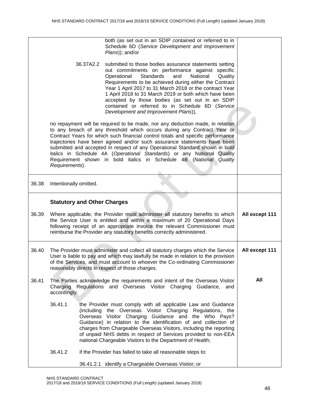|       |                                    | both (as set out in an SDIP contained or referred to in<br>Schedule 6D (Service Development and Improvement<br>Plans)); and/or                                                                                                                                                                                                                                                                                                                                                                                                                         |                |
|-------|------------------------------------|--------------------------------------------------------------------------------------------------------------------------------------------------------------------------------------------------------------------------------------------------------------------------------------------------------------------------------------------------------------------------------------------------------------------------------------------------------------------------------------------------------------------------------------------------------|----------------|
|       | 36.37A2.2                          | submitted to those bodies assurance statements setting<br>out commitments on performance against specific<br>Operational<br>Standards<br>and<br>National<br>Quality<br>Requirements to be achieved during either the Contract<br>Year 1 April 2017 to 31 March 2018 or the contract Year<br>1 April 2018 to 31 March 2019 or both which have been<br>accepted by those bodies (as set out in an SDIP<br>contained or referred to in Schedule 6D (Service<br>Development and Improvement Plans)),                                                       |                |
|       | Requirements).                     | no repayment will be required to be made, nor any deduction made, in relation<br>to any breach of any threshold which occurs during any Contract Year or<br>Contract Years for which such financial control totals and specific performance<br>trajectories have been agreed and/or such assurance statements have been<br>submitted and accepted in respect of any Operational Standard shown in bold<br>italics in Schedule 4A (Operational Standards) or any National Quality<br>Requirement shown in bold italics in Schedule 4B (National Quality |                |
| 36.38 | Intentionally omitted.             |                                                                                                                                                                                                                                                                                                                                                                                                                                                                                                                                                        |                |
|       | <b>Statutory and Other Charges</b> |                                                                                                                                                                                                                                                                                                                                                                                                                                                                                                                                                        |                |
| 36.39 |                                    | Where applicable, the Provider must administer all statutory benefits to which<br>the Service User is entitled and within a maximum of 20 Operational Days<br>following receipt of an appropriate invoice the relevant Commissioner must<br>reimburse the Provider any statutory benefits correctly administered.                                                                                                                                                                                                                                      | All except 111 |
| 36.40 |                                    | The Provider must administer and collect all statutory charges which the Service<br>User is liable to pay and which may lawfully be made in relation to the provision<br>of the Services, and must account to whoever the Co-ordinating Commissioner<br>reasonably directs in respect of those charges.                                                                                                                                                                                                                                                | All except 111 |
| 36.41 | Charging<br>accordingly:           | The Parties acknowledge the requirements and intent of the Overseas Visitor<br>Regulations and Overseas Visitor Charging Guidance, and                                                                                                                                                                                                                                                                                                                                                                                                                 | All            |
|       | 36.41.1                            | the Provider must comply with all applicable Law and Guidance<br>(including the Overseas Visitor Charging Regulations, the<br>Overseas Visitor Charging Guidance and the Who Pays?<br>Guidance) in relation to the identification of and collection of<br>charges from Chargeable Overseas Visitors, including the reporting<br>of unpaid NHS debts in respect of Services provided to non-EEA<br>national Chargeable Visitors to the Department of Health;                                                                                            |                |
|       | 36.41.2                            | if the Provider has failed to take all reasonable steps to:                                                                                                                                                                                                                                                                                                                                                                                                                                                                                            |                |
|       |                                    | 36.41.2.1 identify a Chargeable Overseas Visitor; or                                                                                                                                                                                                                                                                                                                                                                                                                                                                                                   |                |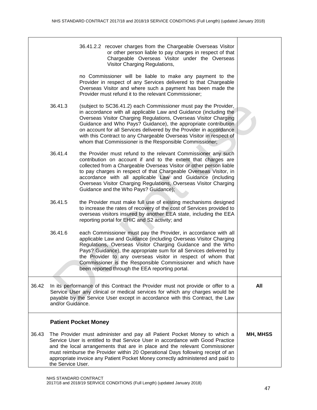|       |                   | 36.41.2.2 recover charges from the Chargeable Overseas Visitor<br>or other person liable to pay charges in respect of that<br>Chargeable Overseas Visitor under the Overseas<br>Visitor Charging Regulations,                                                                                                                                                                                                                                                                       |                 |
|-------|-------------------|-------------------------------------------------------------------------------------------------------------------------------------------------------------------------------------------------------------------------------------------------------------------------------------------------------------------------------------------------------------------------------------------------------------------------------------------------------------------------------------|-----------------|
|       |                   | no Commissioner will be liable to make any payment to the<br>Provider in respect of any Services delivered to that Chargeable<br>Overseas Visitor and where such a payment has been made the<br>Provider must refund it to the relevant Commissioner;                                                                                                                                                                                                                               |                 |
|       | 36.41.3           | (subject to SC36.41.2) each Commissioner must pay the Provider,<br>in accordance with all applicable Law and Guidance (including the<br>Overseas Visitor Charging Regulations, Overseas Visitor Charging<br>Guidance and Who Pays? Guidance), the appropriate contribution<br>on account for all Services delivered by the Provider in accordance<br>with this Contract to any Chargeable Overseas Visitor in respect of<br>whom that Commissioner is the Responsible Commissioner; |                 |
|       | 36.41.4           | the Provider must refund to the relevant Commissioner any such<br>contribution on account if and to the extent that charges are<br>collected from a Chargeable Overseas Visitor or other person liable<br>to pay charges in respect of that Chargeable Overseas Visitor, in<br>accordance with all applicable Law and Guidance (including<br>Overseas Visitor Charging Regulations, Overseas Visitor Charging<br>Guidance and the Who Pays? Guidance);                              |                 |
|       | 36.41.5           | the Provider must make full use of existing mechanisms designed<br>to increase the rates of recovery of the cost of Services provided to<br>overseas visitors insured by another EEA state, including the EEA<br>reporting portal for EHIC and S2 activity; and                                                                                                                                                                                                                     |                 |
|       | 36.41.6           | each Commissioner must pay the Provider, in accordance with all<br>applicable Law and Guidance (including Overseas Visitor Charging<br>Regulations, Overseas Visitor Charging Guidance and the Who<br>Pays? Guidance), the appropriate sum for all Services delivered by<br>the Provider to any overseas visitor in respect of whom that<br>Commissioner is the Responsible Commissioner and which have<br>been reported through the EEA reporting portal.                          |                 |
| 36.42 | and/or Guidance.  | In its performance of this Contract the Provider must not provide or offer to a<br>Service User any clinical or medical services for which any charges would be<br>payable by the Service User except in accordance with this Contract, the Law                                                                                                                                                                                                                                     | All             |
|       |                   | <b>Patient Pocket Money</b>                                                                                                                                                                                                                                                                                                                                                                                                                                                         |                 |
| 36.43 | the Service User. | The Provider must administer and pay all Patient Pocket Money to which a<br>Service User is entitled to that Service User in accordance with Good Practice<br>and the local arrangements that are in place and the relevant Commissioner<br>must reimburse the Provider within 20 Operational Days following receipt of an<br>appropriate invoice any Patient Pocket Money correctly administered and paid to                                                                       | <b>MH, MHSS</b> |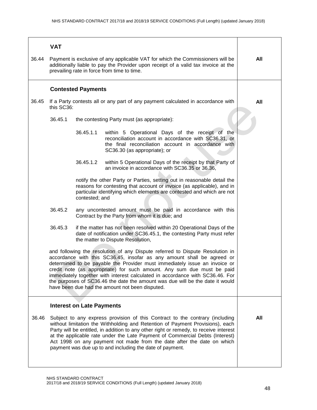|       | <b>VAT</b>                                                                                                                                                                                                                                                                                                                                                                                                                                                                                                                           |                                                                                                                                                                                                                                                                                                                                                                                                                                                                              |                                                                                                                                                                                                 |     |
|-------|--------------------------------------------------------------------------------------------------------------------------------------------------------------------------------------------------------------------------------------------------------------------------------------------------------------------------------------------------------------------------------------------------------------------------------------------------------------------------------------------------------------------------------------|------------------------------------------------------------------------------------------------------------------------------------------------------------------------------------------------------------------------------------------------------------------------------------------------------------------------------------------------------------------------------------------------------------------------------------------------------------------------------|-------------------------------------------------------------------------------------------------------------------------------------------------------------------------------------------------|-----|
| 36.44 |                                                                                                                                                                                                                                                                                                                                                                                                                                                                                                                                      | Payment is exclusive of any applicable VAT for which the Commissioners will be<br>additionally liable to pay the Provider upon receipt of a valid tax invoice at the<br>prevailing rate in force from time to time.                                                                                                                                                                                                                                                          |                                                                                                                                                                                                 |     |
|       |                                                                                                                                                                                                                                                                                                                                                                                                                                                                                                                                      | <b>Contested Payments</b>                                                                                                                                                                                                                                                                                                                                                                                                                                                    |                                                                                                                                                                                                 |     |
| 36.45 | this SC36:                                                                                                                                                                                                                                                                                                                                                                                                                                                                                                                           |                                                                                                                                                                                                                                                                                                                                                                                                                                                                              | If a Party contests all or any part of any payment calculated in accordance with                                                                                                                | All |
|       | 36.45.1                                                                                                                                                                                                                                                                                                                                                                                                                                                                                                                              |                                                                                                                                                                                                                                                                                                                                                                                                                                                                              | the contesting Party must (as appropriate):                                                                                                                                                     |     |
|       |                                                                                                                                                                                                                                                                                                                                                                                                                                                                                                                                      | 36.45.1.1                                                                                                                                                                                                                                                                                                                                                                                                                                                                    | within 5 Operational Days of the receipt of the<br>reconciliation account in accordance with SC36.31, or<br>the final reconciliation account in accordance with<br>SC36.30 (as appropriate); or |     |
|       |                                                                                                                                                                                                                                                                                                                                                                                                                                                                                                                                      | 36.45.1.2                                                                                                                                                                                                                                                                                                                                                                                                                                                                    | within 5 Operational Days of the receipt by that Party of<br>an invoice in accordance with SC36.35 or 36.36,                                                                                    |     |
|       |                                                                                                                                                                                                                                                                                                                                                                                                                                                                                                                                      | notify the other Party or Parties, setting out in reasonable detail the<br>reasons for contesting that account or invoice (as applicable), and in<br>particular identifying which elements are contested and which are not<br>contested; and                                                                                                                                                                                                                                 |                                                                                                                                                                                                 |     |
|       | 36.45.2<br>any uncontested amount must be paid in accordance with this<br>Contract by the Party from whom it is due; and                                                                                                                                                                                                                                                                                                                                                                                                             |                                                                                                                                                                                                                                                                                                                                                                                                                                                                              |                                                                                                                                                                                                 |     |
|       | 36.45.3                                                                                                                                                                                                                                                                                                                                                                                                                                                                                                                              |                                                                                                                                                                                                                                                                                                                                                                                                                                                                              |                                                                                                                                                                                                 |     |
|       | and following the resolution of any Dispute referred to Dispute Resolution in<br>accordance with this SC36.45, insofar as any amount shall be agreed or<br>determined to be payable the Provider must immediately issue an invoice or<br>credit note (as appropriate) for such amount. Any sum due must be paid<br>immediately together with interest calculated in accordance with SC36.46. For<br>the purposes of SC36.46 the date the amount was due will be the date it would<br>have been due had the amount not been disputed. |                                                                                                                                                                                                                                                                                                                                                                                                                                                                              |                                                                                                                                                                                                 |     |
|       | <b>Interest on Late Payments</b>                                                                                                                                                                                                                                                                                                                                                                                                                                                                                                     |                                                                                                                                                                                                                                                                                                                                                                                                                                                                              |                                                                                                                                                                                                 |     |
| 36.46 |                                                                                                                                                                                                                                                                                                                                                                                                                                                                                                                                      | Subject to any express provision of this Contract to the contrary (including<br>without limitation the Withholding and Retention of Payment Provisions), each<br>Party will be entitled, in addition to any other right or remedy, to receive interest<br>at the applicable rate under the Late Payment of Commercial Debts (Interest)<br>Act 1998 on any payment not made from the date after the date on which<br>payment was due up to and including the date of payment. |                                                                                                                                                                                                 |     |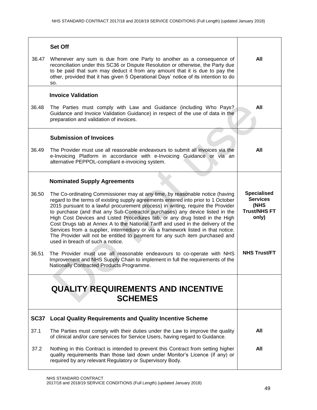| 36.47          | <b>Set Off</b><br>Whenever any sum is due from one Party to another as a consequence of<br>reconciliation under this SC36 or Dispute Resolution or otherwise, the Party due<br>to be paid that sum may deduct it from any amount that it is due to pay the<br>other, provided that it has given 5 Operational Days' notice of its intention to do<br>SO.                                                                                                                                                                                                                                                                                                                                                                                                                                                                                                                                                                                                      | All                                                                                                  |
|----------------|---------------------------------------------------------------------------------------------------------------------------------------------------------------------------------------------------------------------------------------------------------------------------------------------------------------------------------------------------------------------------------------------------------------------------------------------------------------------------------------------------------------------------------------------------------------------------------------------------------------------------------------------------------------------------------------------------------------------------------------------------------------------------------------------------------------------------------------------------------------------------------------------------------------------------------------------------------------|------------------------------------------------------------------------------------------------------|
| 36.48          | <b>Invoice Validation</b><br>The Parties must comply with Law and Guidance (including Who Pays?<br>Guidance and Invoice Validation Guidance) in respect of the use of data in the<br>preparation and validation of invoices.                                                                                                                                                                                                                                                                                                                                                                                                                                                                                                                                                                                                                                                                                                                                  | All                                                                                                  |
| 36.49          | <b>Submission of Invoices</b><br>The Provider must use all reasonable endeavours to submit all invoices via the<br>e-Invoicing Platform in accordance with e-Invoicing Guidance or via an<br>alternative PEPPOL-compliant e-invoicing system.                                                                                                                                                                                                                                                                                                                                                                                                                                                                                                                                                                                                                                                                                                                 | All                                                                                                  |
| 36.50<br>36.51 | <b>Nominated Supply Agreements</b><br>The Co-ordinating Commissioner may at any time, by reasonable notice (having<br>regard to the terms of existing supply agreements entered into prior to 1 October<br>2015 pursuant to a lawful procurement process) in writing, require the Provider<br>to purchase (and that any Sub-Contractor purchases) any device listed in the<br>High Cost Devices and Listed Procedures tab, or any drug listed in the High<br>Cost Drugs tab at Annex A to the National Tariff and used in the delivery of the<br>Services from a supplier, intermediary or via a framework listed in that notice.<br>The Provider will not be entitled to payment for any such item purchased and<br>used in breach of such a notice.<br>The Provider must use all reasonable endeavours to co-operate with NHS<br>Improvement and NHS Supply Chain to implement in full the requirements of the<br>Nationally Contracted Products Programme. | <b>Specialised</b><br><b>Services</b><br>(NHS<br><b>Trust/NHS FT</b><br>only)<br><b>NHS Trust/FT</b> |
|                | <b>QUALITY REQUIREMENTS AND INCENTIVE</b><br><b>SCHEMES</b>                                                                                                                                                                                                                                                                                                                                                                                                                                                                                                                                                                                                                                                                                                                                                                                                                                                                                                   |                                                                                                      |
|                | SC37 Local Quality Requirements and Quality Incentive Scheme                                                                                                                                                                                                                                                                                                                                                                                                                                                                                                                                                                                                                                                                                                                                                                                                                                                                                                  |                                                                                                      |
| 37.1           | The Parties must comply with their duties under the Law to improve the quality<br>of clinical and/or care services for Service Users, having regard to Guidance.                                                                                                                                                                                                                                                                                                                                                                                                                                                                                                                                                                                                                                                                                                                                                                                              | All                                                                                                  |
| 37.2           | Nothing in this Contract is intended to prevent this Contract from setting higher<br>quality requirements than those laid down under Monitor's Licence (if any) or<br>required by any relevant Regulatory or Supervisory Body.                                                                                                                                                                                                                                                                                                                                                                                                                                                                                                                                                                                                                                                                                                                                | All                                                                                                  |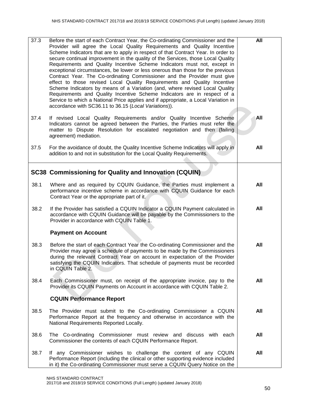| 37.3 | Before the start of each Contract Year, the Co-ordinating Commissioner and the<br>Provider will agree the Local Quality Requirements and Quality Incentive<br>Scheme Indicators that are to apply in respect of that Contract Year. In order to<br>secure continual improvement in the quality of the Services, those Local Quality<br>Requirements and Quality Incentive Scheme Indicators must not, except in<br>exceptional circumstances, be lower or less onerous than those for the previous<br>Contract Year. The Co-ordinating Commissioner and the Provider must give<br>effect to those revised Local Quality Requirements and Quality Incentive<br>Scheme Indicators by means of a Variation (and, where revised Local Quality<br>Requirements and Quality Incentive Scheme Indicators are in respect of a<br>Service to which a National Price applies and if appropriate, a Local Variation in<br>accordance with SC36.11 to 36.15 (Local Variations)). | All |
|------|----------------------------------------------------------------------------------------------------------------------------------------------------------------------------------------------------------------------------------------------------------------------------------------------------------------------------------------------------------------------------------------------------------------------------------------------------------------------------------------------------------------------------------------------------------------------------------------------------------------------------------------------------------------------------------------------------------------------------------------------------------------------------------------------------------------------------------------------------------------------------------------------------------------------------------------------------------------------|-----|
| 37.4 | If revised Local Quality Requirements and/or Quality Incentive Scheme<br>Indicators cannot be agreed between the Parties, the Parties must refer the<br>matter to Dispute Resolution for escalated negotiation and then (failing<br>agreement) mediation.                                                                                                                                                                                                                                                                                                                                                                                                                                                                                                                                                                                                                                                                                                            | All |
| 37.5 | For the avoidance of doubt, the Quality Incentive Scheme Indicators will apply in<br>addition to and not in substitution for the Local Quality Requirements.                                                                                                                                                                                                                                                                                                                                                                                                                                                                                                                                                                                                                                                                                                                                                                                                         | All |
|      | <b>SC38 Commissioning for Quality and Innovation (CQUIN)</b>                                                                                                                                                                                                                                                                                                                                                                                                                                                                                                                                                                                                                                                                                                                                                                                                                                                                                                         |     |
| 38.1 | Where and as required by CQUIN Guidance, the Parties must implement a<br>performance incentive scheme in accordance with CQUIN Guidance for each<br>Contract Year or the appropriate part of it.                                                                                                                                                                                                                                                                                                                                                                                                                                                                                                                                                                                                                                                                                                                                                                     | All |
| 38.2 | If the Provider has satisfied a CQUIN Indicator a CQUIN Payment calculated in<br>accordance with CQUIN Guidance will be payable by the Commissioners to the<br>Provider in accordance with CQUIN Table 1.                                                                                                                                                                                                                                                                                                                                                                                                                                                                                                                                                                                                                                                                                                                                                            | All |
|      | <b>Payment on Account</b>                                                                                                                                                                                                                                                                                                                                                                                                                                                                                                                                                                                                                                                                                                                                                                                                                                                                                                                                            |     |
| 38.3 | Before the start of each Contract Year the Co-ordinating Commissioner and the<br>Provider may agree a schedule of payments to be made by the Commissioners<br>during the relevant Contract Year on account in expectation of the Provider<br>satisfying the CQUIN Indicators. That schedule of payments must be recorded<br>in CQUIN Table 2.                                                                                                                                                                                                                                                                                                                                                                                                                                                                                                                                                                                                                        | All |
| 38.4 | Each Commissioner must, on receipt of the appropriate invoice, pay to the<br>Provider its CQUIN Payments on Account in accordance with CQUIN Table 2.                                                                                                                                                                                                                                                                                                                                                                                                                                                                                                                                                                                                                                                                                                                                                                                                                | All |
|      | <b>CQUIN Performance Report</b>                                                                                                                                                                                                                                                                                                                                                                                                                                                                                                                                                                                                                                                                                                                                                                                                                                                                                                                                      |     |
| 38.5 | The Provider must submit to the Co-ordinating Commissioner a CQUIN<br>Performance Report at the frequency and otherwise in accordance with the<br>National Requirements Reported Locally.                                                                                                                                                                                                                                                                                                                                                                                                                                                                                                                                                                                                                                                                                                                                                                            | All |
| 38.6 | The Co-ordinating Commissioner must review and discuss with each<br>Commissioner the contents of each CQUIN Performance Report.                                                                                                                                                                                                                                                                                                                                                                                                                                                                                                                                                                                                                                                                                                                                                                                                                                      | All |
| 38.7 | If any Commissioner wishes to challenge the content of any CQUIN<br>Performance Report (including the clinical or other supporting evidence included<br>in it) the Co-ordinating Commissioner must serve a CQUIN Query Notice on the                                                                                                                                                                                                                                                                                                                                                                                                                                                                                                                                                                                                                                                                                                                                 | All |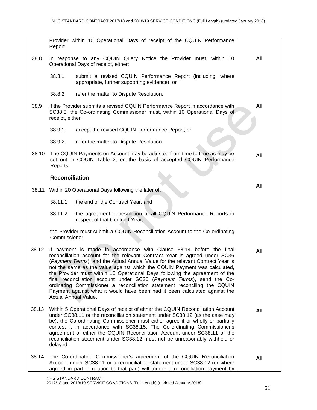| 38.8  | In response to any CQUIN Query Notice the Provider must, within 10<br>Operational Days of receipt, either:                                                                                                                                                                                                                                                                                                                                                                                                                                                                                                                                                 | All |
|-------|------------------------------------------------------------------------------------------------------------------------------------------------------------------------------------------------------------------------------------------------------------------------------------------------------------------------------------------------------------------------------------------------------------------------------------------------------------------------------------------------------------------------------------------------------------------------------------------------------------------------------------------------------------|-----|
|       | 38.8.1<br>submit a revised CQUIN Performance Report (including, where<br>appropriate, further supporting evidence); or                                                                                                                                                                                                                                                                                                                                                                                                                                                                                                                                     |     |
|       | 38.8.2<br>refer the matter to Dispute Resolution.                                                                                                                                                                                                                                                                                                                                                                                                                                                                                                                                                                                                          |     |
| 38.9  | If the Provider submits a revised CQUIN Performance Report in accordance with<br>SC38.8, the Co-ordinating Commissioner must, within 10 Operational Days of<br>receipt, either:                                                                                                                                                                                                                                                                                                                                                                                                                                                                            | All |
|       | 38.9.1<br>accept the revised CQUIN Performance Report; or                                                                                                                                                                                                                                                                                                                                                                                                                                                                                                                                                                                                  |     |
|       | 38.9.2<br>refer the matter to Dispute Resolution.                                                                                                                                                                                                                                                                                                                                                                                                                                                                                                                                                                                                          |     |
| 38.10 | The CQUIN Payments on Account may be adjusted from time to time as may be<br>set out in CQUIN Table 2, on the basis of accepted CQUIN Performance<br>Reports.                                                                                                                                                                                                                                                                                                                                                                                                                                                                                              | All |
|       | <b>Reconciliation</b>                                                                                                                                                                                                                                                                                                                                                                                                                                                                                                                                                                                                                                      |     |
| 38.11 | Within 20 Operational Days following the later of:                                                                                                                                                                                                                                                                                                                                                                                                                                                                                                                                                                                                         | All |
|       | 38.11.1<br>the end of the Contract Year; and                                                                                                                                                                                                                                                                                                                                                                                                                                                                                                                                                                                                               |     |
|       | 38.11.2<br>the agreement or resolution of all CQUIN Performance Reports in<br>respect of that Contract Year,                                                                                                                                                                                                                                                                                                                                                                                                                                                                                                                                               |     |
|       | the Provider must submit a CQUIN Reconciliation Account to the Co-ordinating<br>Commissioner.                                                                                                                                                                                                                                                                                                                                                                                                                                                                                                                                                              |     |
| 38.12 | If payment is made in accordance with Clause 38.14 before the final<br>reconciliation account for the relevant Contract Year is agreed under SC36<br>(Payment Terms), and the Actual Annual Value for the relevant Contract Year is<br>not the same as the value against which the CQUIN Payment was calculated,<br>the Provider must within 10 Operational Days following the agreement of the<br>final reconciliation account under SC36 (Payment Terms), send the Co-<br>ordinating Commissioner a reconciliation statement reconciling the CQUIN<br>Payment against what it would have been had it been calculated against the<br>Actual Annual Value. | All |
| 38.13 | Within 5 Operational Days of receipt of either the CQUIN Reconciliation Account<br>under SC38.11 or the reconciliation statement under SC38.12 (as the case may<br>be), the Co-ordinating Commissioner must either agree it or wholly or partially<br>contest it in accordance with SC38.15. The Co-ordinating Commissioner's<br>agreement of either the CQUIN Reconciliation Account under SC38.11 or the<br>reconciliation statement under SC38.12 must not be unreasonably withheld or<br>delayed.                                                                                                                                                      | All |
| 38.14 | The Co-ordinating Commissioner's agreement of the CQUIN Reconciliation<br>Account under SC38.11 or a reconciliation statement under SC38.12 (or where<br>agreed in part in relation to that part) will trigger a reconciliation payment by                                                                                                                                                                                                                                                                                                                                                                                                                 | All |